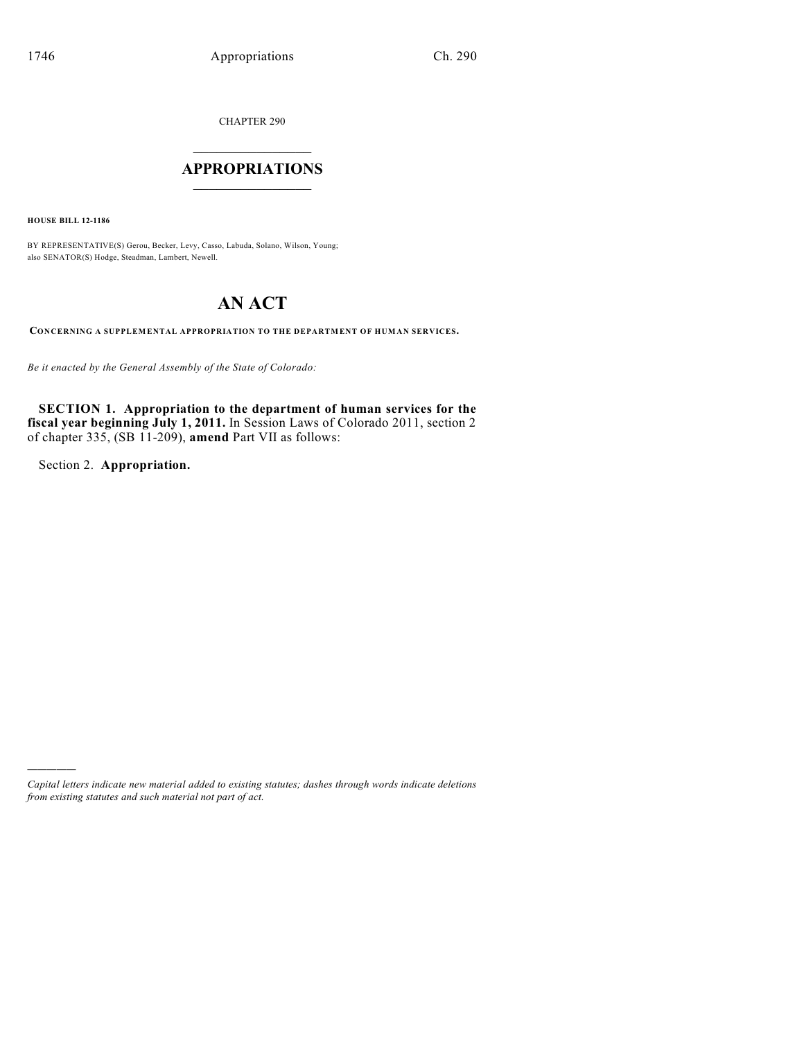CHAPTER 290

# $\mathcal{L}_\text{max}$  . The set of the set of the set of the set of the set of the set of the set of the set of the set of the set of the set of the set of the set of the set of the set of the set of the set of the set of the set **APPROPRIATIONS**  $\_$   $\_$   $\_$   $\_$   $\_$   $\_$   $\_$   $\_$

**HOUSE BILL 12-1186**

BY REPRESENTATIVE(S) Gerou, Becker, Levy, Casso, Labuda, Solano, Wilson, Young; also SENATOR(S) Hodge, Steadman, Lambert, Newell.

# **AN ACT**

**CONCERNING A SUPPLEMENTAL APPROPRIATION TO THE DEPARTMENT OF HUMAN SERVICES.**

*Be it enacted by the General Assembly of the State of Colorado:*

**SECTION 1. Appropriation to the department of human services for the fiscal year beginning July 1, 2011.** In Session Laws of Colorado 2011, section 2 of chapter 335, (SB 11-209), **amend** Part VII as follows:

Section 2. **Appropriation.**

)))))

*Capital letters indicate new material added to existing statutes; dashes through words indicate deletions from existing statutes and such material not part of act.*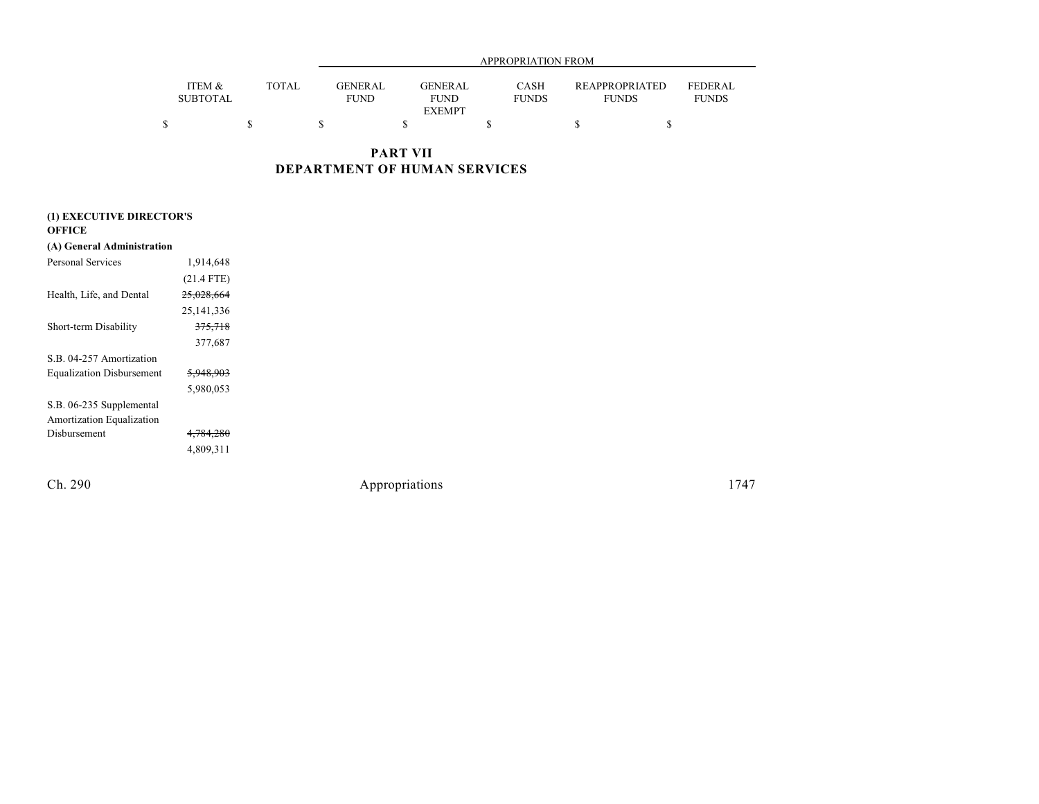|                           |       |                        | APPROPRIATION FROM     |                             |                                |                                |  |  |  |
|---------------------------|-------|------------------------|------------------------|-----------------------------|--------------------------------|--------------------------------|--|--|--|
| ITEM &<br><b>SUBTOTAL</b> | TOTAL | GENERAL<br><b>FUND</b> | GENERAL<br><b>FUND</b> | <b>CASH</b><br><b>FUNDS</b> | REAPPROPRIATED<br><b>FUNDS</b> | <b>FEDERAL</b><br><b>FUNDS</b> |  |  |  |
|                           |       |                        | <b>EXEMPT</b>          |                             |                                |                                |  |  |  |
|                           |       |                        |                        |                             |                                |                                |  |  |  |

**PART VII DEPARTMENT OF HUMAN SERVICES**

| (1) EXECUTIVE DIRECTOR'S         |                      |  |  |  |  |  |
|----------------------------------|----------------------|--|--|--|--|--|
| OFFICE                           |                      |  |  |  |  |  |
| (A) General Administration       |                      |  |  |  |  |  |
| Personal Services                | 1,914,648            |  |  |  |  |  |
|                                  | $(21.4$ FTE)         |  |  |  |  |  |
| Health, Life, and Dental         | 25,028,664           |  |  |  |  |  |
|                                  | 25, 141, 336         |  |  |  |  |  |
| Short-term Disability            | 375,718              |  |  |  |  |  |
|                                  | 377,687              |  |  |  |  |  |
| S.B. 04-257 Amortization         |                      |  |  |  |  |  |
| <b>Equalization Disbursement</b> | <del>5,948,903</del> |  |  |  |  |  |
|                                  | 5,980,053            |  |  |  |  |  |
| S.B. 06-235 Supplemental         |                      |  |  |  |  |  |
| Amortization Equalization        |                      |  |  |  |  |  |
| Disbursement                     | 4,784,280            |  |  |  |  |  |
|                                  | 4,809,311            |  |  |  |  |  |
|                                  |                      |  |  |  |  |  |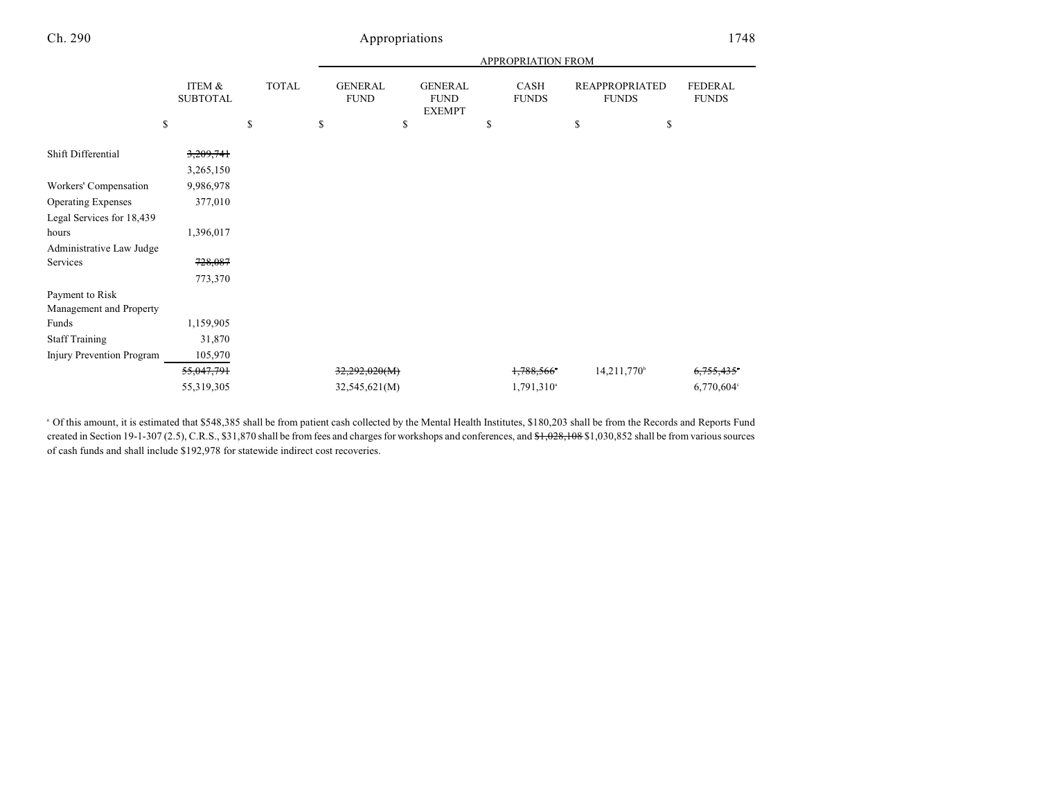| ITEM &<br><b>SUBTOTAL</b> | <b>TOTAL</b> | <b>GENERAL</b><br><b>FUND</b> | <b>GENERAL</b><br><b>FUND</b><br><b>EXEMPT</b> | CASH<br><b>FUNDS</b>           | <b>REAPPROPRIATED</b><br><b>FUNDS</b> | <b>FEDERAL</b><br><b>FUNDS</b>  |
|---------------------------|--------------|-------------------------------|------------------------------------------------|--------------------------------|---------------------------------------|---------------------------------|
| \$                        | \$           | \$                            | \$                                             | \$                             | \$                                    |                                 |
| 3,209,741                 |              |                               |                                                |                                |                                       |                                 |
| 3,265,150                 |              |                               |                                                |                                |                                       |                                 |
| 9,986,978                 |              |                               |                                                |                                |                                       |                                 |
| 377,010                   |              |                               |                                                |                                |                                       |                                 |
|                           |              |                               |                                                |                                |                                       |                                 |
| 1,396,017                 |              |                               |                                                |                                |                                       |                                 |
|                           |              |                               |                                                |                                |                                       |                                 |
| 728,087                   |              |                               |                                                |                                |                                       |                                 |
| 773,370                   |              |                               |                                                |                                |                                       |                                 |
|                           |              |                               |                                                |                                |                                       |                                 |
|                           |              |                               |                                                |                                |                                       |                                 |
| 1,159,905                 |              |                               |                                                |                                |                                       |                                 |
| 31,870                    |              |                               |                                                |                                |                                       |                                 |
| 105,970                   |              |                               |                                                |                                |                                       |                                 |
| 55,047,791                |              |                               |                                                | 1,788,566*                     | 14,211,770 <sup>b</sup>               | 6.755.435                       |
| 55,319,305                |              |                               |                                                | $1,791,310$ <sup>a</sup>       |                                       | 6,770,604°                      |
|                           |              |                               |                                                | 32,292,020(M)<br>32,545,621(M) |                                       | <b>APPROPRIATION FROM</b><br>\$ |

 $^{\circ}$  Of this amount, it is estimated that \$548,385 shall be from patient cash collected by the Mental Health Institutes, \$180,203 shall be from the Records and Reports Fund created in Section 19-1-307 (2.5), C.R.S., \$31,870 shall be from fees and charges for workshops and conferences, and \$1,028,108 \$1,030,852 shall be from various sources of cash funds and shall include \$192,978 for statewide indirect cost recoveries.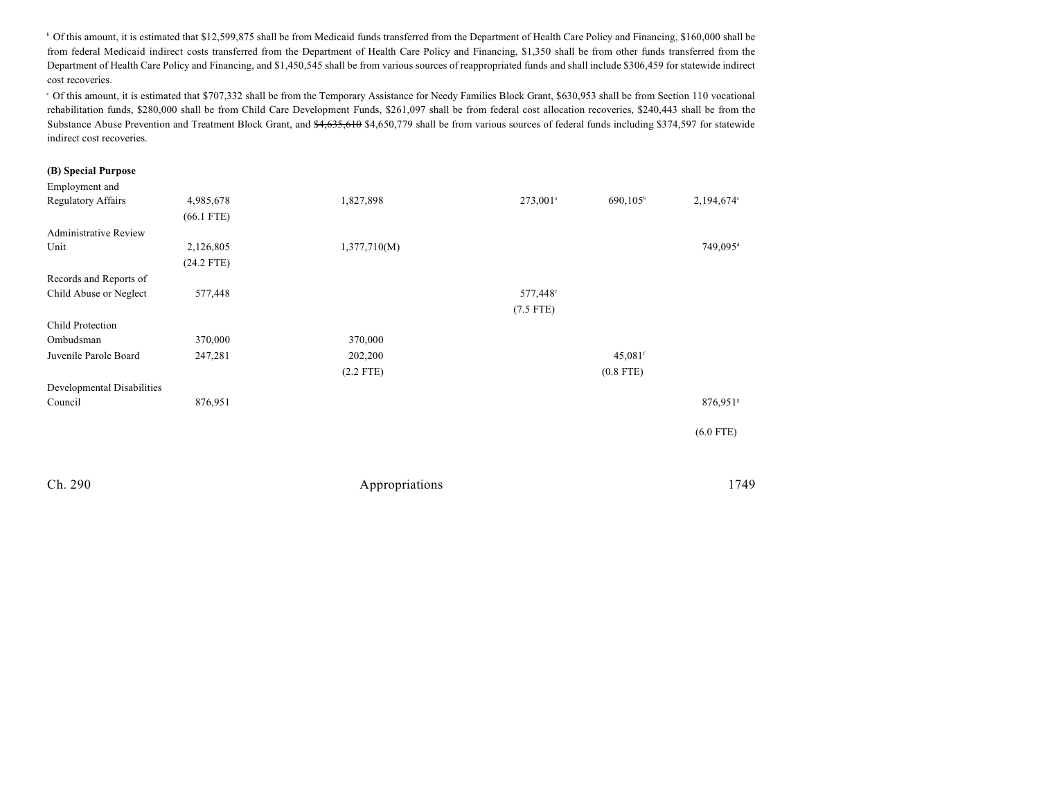<sup>b</sup> Of this amount, it is estimated that \$12,599,875 shall be from Medicaid funds transferred from the Department of Health Care Policy and Financing, \$160,000 shall be from federal Medicaid indirect costs transferred from the Department of Health Care Policy and Financing, \$1,350 shall be from other funds transferred from the Department of Health Care Policy and Financing, and \$1,450,545 shall be from various sources of reappropriated funds and shall include \$306,459 for statewide indirect cost recoveries.

Of this amount, it is estimated that \$707,332 shall be from the Temporary Assistance for Needy Families Block Grant, \$630,953 shall be from Section 110 vocational <sup>c</sup> rehabilitation funds, \$280,000 shall be from Child Care Development Funds, \$261,097 shall be from federal cost allocation recoveries, \$240,443 shall be from the Substance Abuse Prevention and Treatment Block Grant, and \$4,655,610 \$4,650,779 shall be from various sources of federal funds including \$374,597 for statewide indirect cost recoveries.

#### **(B) Special Purpose**

| Employment and               |              |              |                      |                     |                      |
|------------------------------|--------------|--------------|----------------------|---------------------|----------------------|
| <b>Regulatory Affairs</b>    | 4,985,678    | 1,827,898    | 273,001 <sup>a</sup> | $690,105^{\circ}$   | 2,194,674°           |
|                              | $(66.1$ FTE) |              |                      |                     |                      |
| <b>Administrative Review</b> |              |              |                      |                     |                      |
| Unit                         | 2,126,805    | 1,377,710(M) |                      |                     | 749,095 <sup>d</sup> |
|                              | $(24.2$ FTE) |              |                      |                     |                      |
| Records and Reports of       |              |              |                      |                     |                      |
| Child Abuse or Neglect       | 577,448      |              | 577,448°             |                     |                      |
|                              |              |              | $(7.5$ FTE)          |                     |                      |
| Child Protection             |              |              |                      |                     |                      |
| Ombudsman                    | 370,000      | 370,000      |                      |                     |                      |
| Juvenile Parole Board        | 247,281      | 202,200      |                      | 45,081 <sup>f</sup> |                      |
|                              |              | $(2.2$ FTE)  |                      | $(0.8$ FTE)         |                      |
| Developmental Disabilities   |              |              |                      |                     |                      |
| Council                      | 876,951      |              |                      |                     | 876,951 <sup>s</sup> |
|                              |              |              |                      |                     |                      |
|                              |              |              |                      |                     | $(6.0$ FTE)          |
|                              |              |              |                      |                     |                      |
|                              |              |              |                      |                     |                      |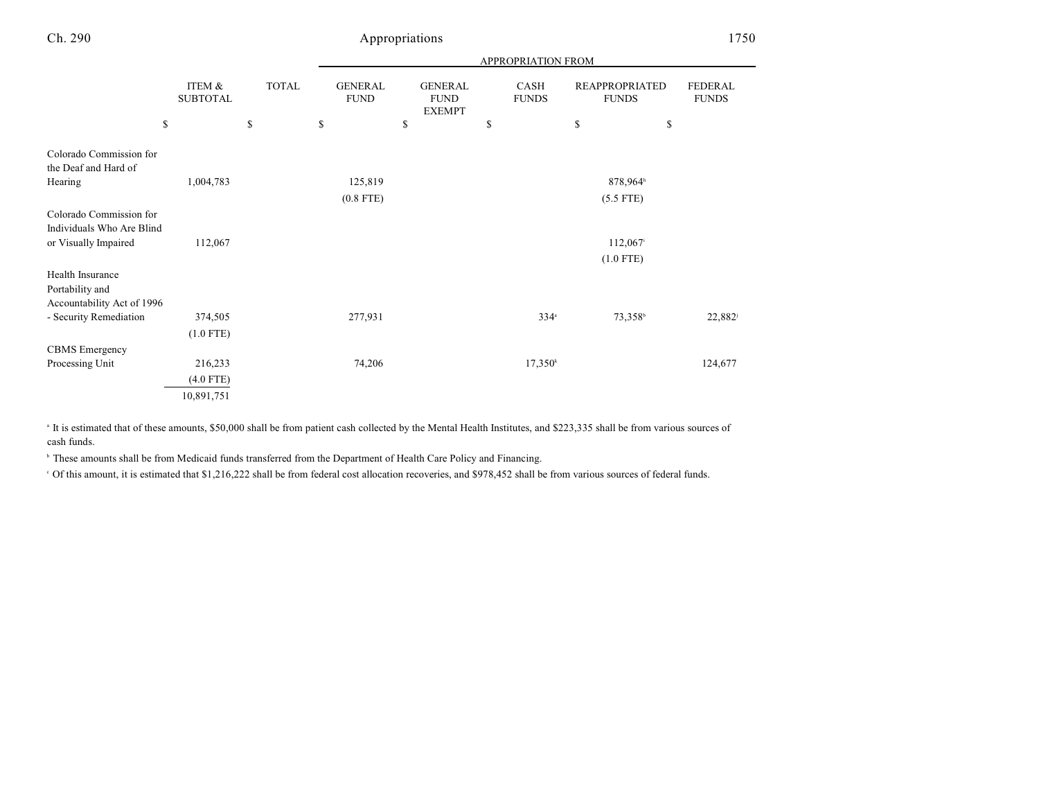|                                                      |                           |                              |                                     |                                                      | <b>APPROPRIATION FROM</b>  |                                                             |                                |
|------------------------------------------------------|---------------------------|------------------------------|-------------------------------------|------------------------------------------------------|----------------------------|-------------------------------------------------------------|--------------------------------|
| \$                                                   | ITEM &<br><b>SUBTOTAL</b> | <b>TOTAL</b><br>$\mathbb{S}$ | <b>GENERAL</b><br><b>FUND</b><br>\$ | <b>GENERAL</b><br><b>FUND</b><br><b>EXEMPT</b><br>\$ | CASH<br><b>FUNDS</b><br>\$ | <b>REAPPROPRIATED</b><br><b>FUNDS</b><br>$\mathbb{S}$<br>\$ | <b>FEDERAL</b><br><b>FUNDS</b> |
|                                                      |                           |                              |                                     |                                                      |                            |                                                             |                                |
| Colorado Commission for<br>the Deaf and Hard of      |                           |                              |                                     |                                                      |                            |                                                             |                                |
| Hearing                                              | 1,004,783                 |                              | 125,819                             |                                                      |                            | 878,964h                                                    |                                |
|                                                      |                           |                              | $(0.8$ FTE)                         |                                                      |                            | $(5.5$ FTE)                                                 |                                |
| Colorado Commission for<br>Individuals Who Are Blind |                           |                              |                                     |                                                      |                            |                                                             |                                |
| or Visually Impaired                                 | 112,067                   |                              |                                     |                                                      |                            | 112,067 <sup>i</sup>                                        |                                |
|                                                      |                           |                              |                                     |                                                      |                            | $(1.0$ FTE)                                                 |                                |
| Health Insurance                                     |                           |                              |                                     |                                                      |                            |                                                             |                                |
| Portability and                                      |                           |                              |                                     |                                                      |                            |                                                             |                                |
| Accountability Act of 1996                           |                           |                              |                                     |                                                      |                            |                                                             |                                |
| - Security Remediation                               | 374,505                   |                              | 277,931                             |                                                      | $334^{\circ}$              | 73,358 <sup>b</sup>                                         | $22,882^{\rm i}$               |
|                                                      | $(1.0$ FTE)               |                              |                                     |                                                      |                            |                                                             |                                |
| <b>CBMS</b> Emergency                                |                           |                              |                                     |                                                      |                            |                                                             |                                |
| Processing Unit                                      | 216,233                   |                              | 74,206                              |                                                      | 17,350 <sup>k</sup>        |                                                             | 124,677                        |
|                                                      | $(4.0$ FTE)               |                              |                                     |                                                      |                            |                                                             |                                |
|                                                      | 10,891,751                |                              |                                     |                                                      |                            |                                                             |                                |

<sup>a</sup> It is estimated that of these amounts, \$50,000 shall be from patient cash collected by the Mental Health Institutes, and \$223,335 shall be from various sources of cash funds.

<sup>b</sup> These amounts shall be from Medicaid funds transferred from the Department of Health Care Policy and Financing.

 $\degree$  Of this amount, it is estimated that \$1,216,222 shall be from federal cost allocation recoveries, and \$978,452 shall be from various sources of federal funds.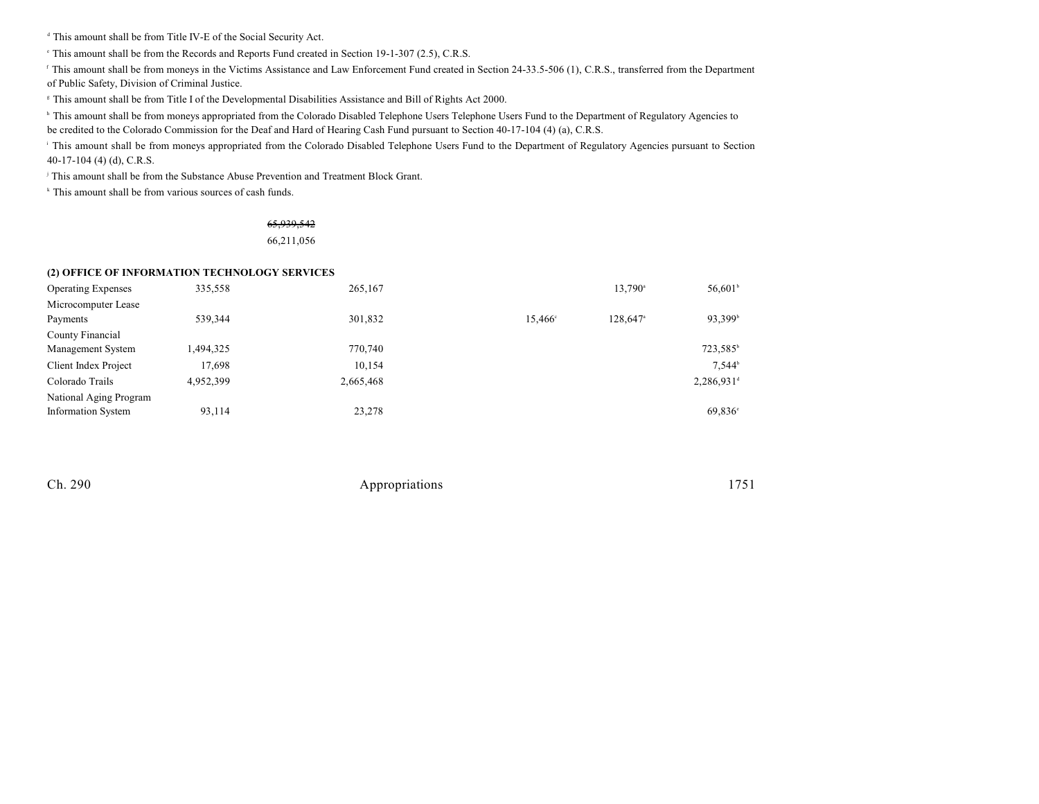<sup>d</sup> This amount shall be from Title IV-E of the Social Security Act.

 $\degree$  This amount shall be from the Records and Reports Fund created in Section 19-1-307 (2.5), C.R.S.

<sup>f</sup> This amount shall be from moneys in the Victims Assistance and Law Enforcement Fund created in Section 24-33.5-506 (1), C.R.S., transferred from the Department of Public Safety, Division of Criminal Justice.

This amount shall be from Title I of the Developmental Disabilities Assistance and Bill of Rights Act 2000. <sup>g</sup>

<sup>h</sup> This amount shall be from moneys appropriated from the Colorado Disabled Telephone Users Telephone Users Fund to the Department of Regulatory Agencies to

be credited to the Colorado Commission for the Deaf and Hard of Hearing Cash Fund pursuant to Section 40-17-104 (4) (a), C.R.S.

<sup>1</sup> This amount shall be from moneys appropriated from the Colorado Disabled Telephone Users Fund to the Department of Regulatory Agencies pursuant to Section 40-17-104 (4) (d), C.R.S.

<sup>j</sup> This amount shall be from the Substance Abuse Prevention and Treatment Block Grant.

 $k$  This amount shall be from various sources of cash funds.

### 65,939,542 66,211,056

#### **(2) OFFICE OF INFORMATION TECHNOLOGY SERVICES**

| <b>Operating Expenses</b> | 335,558   | 265,167   |                  | 13,790 <sup>a</sup>  | $56,601^{\circ}$         |
|---------------------------|-----------|-----------|------------------|----------------------|--------------------------|
| Microcomputer Lease       |           |           |                  |                      |                          |
| Payments                  | 539,344   | 301,832   | $15.466^{\circ}$ | 128.647 <sup>a</sup> | 93,399 <sup>b</sup>      |
| County Financial          |           |           |                  |                      |                          |
| Management System         | 1,494,325 | 770,740   |                  |                      | 723,585 <sup>b</sup>     |
| Client Index Project      | 17,698    | 10,154    |                  |                      | $7.544^b$                |
| Colorado Trails           | 4,952,399 | 2,665,468 |                  |                      | $2,286,931$ <sup>d</sup> |
| National Aging Program    |           |           |                  |                      |                          |
| <b>Information System</b> | 93,114    | 23,278    |                  |                      | 69,836 <sup>e</sup>      |

| Appropriations | 1751 |
|----------------|------|
|                |      |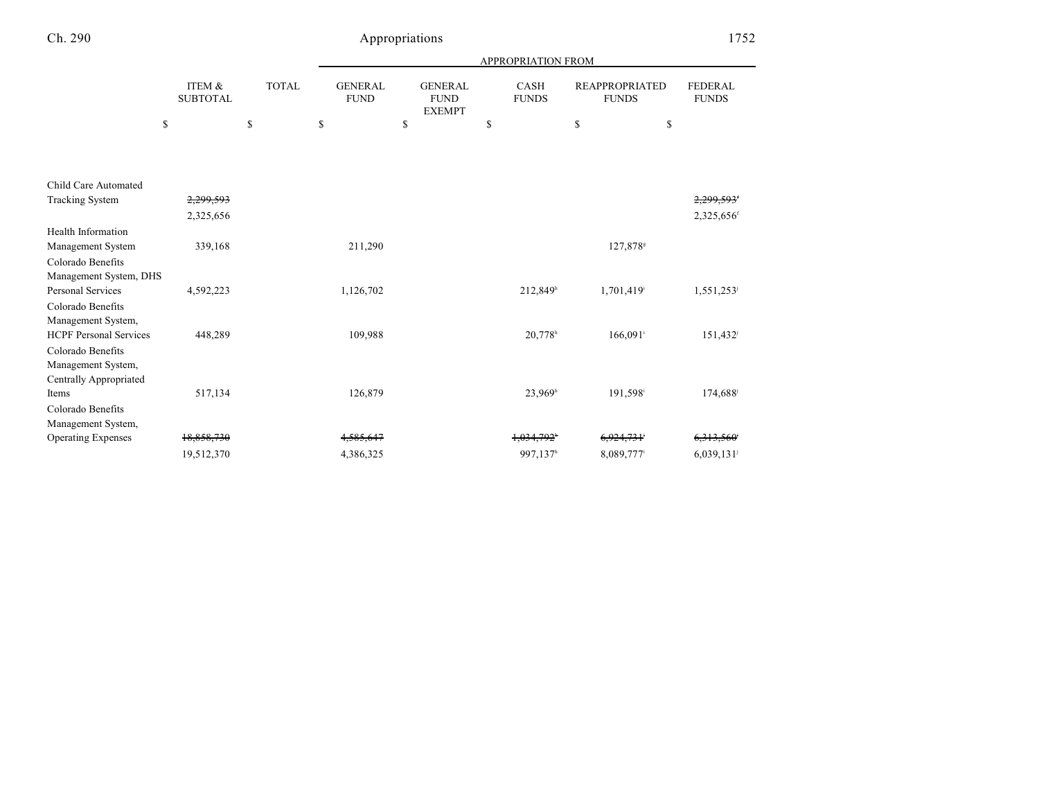|                                                                          |                           |              |                               |                                                | APPROPRIATION FROM          |                                       |                                |
|--------------------------------------------------------------------------|---------------------------|--------------|-------------------------------|------------------------------------------------|-----------------------------|---------------------------------------|--------------------------------|
|                                                                          | ITEM &<br><b>SUBTOTAL</b> | <b>TOTAL</b> | <b>GENERAL</b><br><b>FUND</b> | <b>GENERAL</b><br><b>FUND</b><br><b>EXEMPT</b> | <b>CASH</b><br><b>FUNDS</b> | <b>REAPPROPRIATED</b><br><b>FUNDS</b> | <b>FEDERAL</b><br><b>FUNDS</b> |
| \$                                                                       |                           | \$           | \$                            | \$                                             | \$                          | \$                                    | \$                             |
| Child Care Automated                                                     |                           |              |                               |                                                |                             |                                       |                                |
| <b>Tracking System</b>                                                   | 2,299,593                 |              |                               |                                                |                             |                                       | 2,299,593'                     |
|                                                                          | 2,325,656                 |              |                               |                                                |                             |                                       | 2,325,656f                     |
| <b>Health Information</b><br>Management System                           | 339,168                   |              | 211,290                       |                                                |                             | 127,878*                              |                                |
| Colorado Benefits<br>Management System, DHS<br>Personal Services         | 4,592,223                 |              | 1,126,702                     |                                                | 212,849h                    | 1,701,419 <sup>i</sup>                | 1,551,253                      |
| Colorado Benefits<br>Management System,                                  |                           |              |                               |                                                |                             |                                       |                                |
| <b>HCPF Personal Services</b><br>Colorado Benefits<br>Management System, | 448,289                   |              | 109,988                       |                                                | 20,778h                     | $166,091$ <sup>i</sup>                | 151,432 <sup>i</sup>           |
| <b>Centrally Appropriated</b><br>Items                                   | 517,134                   |              | 126,879                       |                                                | 23,969h                     | 191,598 <sup>i</sup>                  | 174,688 <sup>j</sup>           |
| Colorado Benefits                                                        |                           |              |                               |                                                |                             |                                       |                                |
| Management System,                                                       |                           |              |                               |                                                |                             |                                       |                                |
| <b>Operating Expenses</b>                                                | 18,858,730                |              | 4,585,647                     |                                                | 1.034.792 <sup>*</sup>      | 6,924,731 <sup>°</sup>                | 6,313,560                      |
|                                                                          | 19,512,370                |              | 4,386,325                     |                                                | 997,137h                    | 8,089,777                             | 6,039,131                      |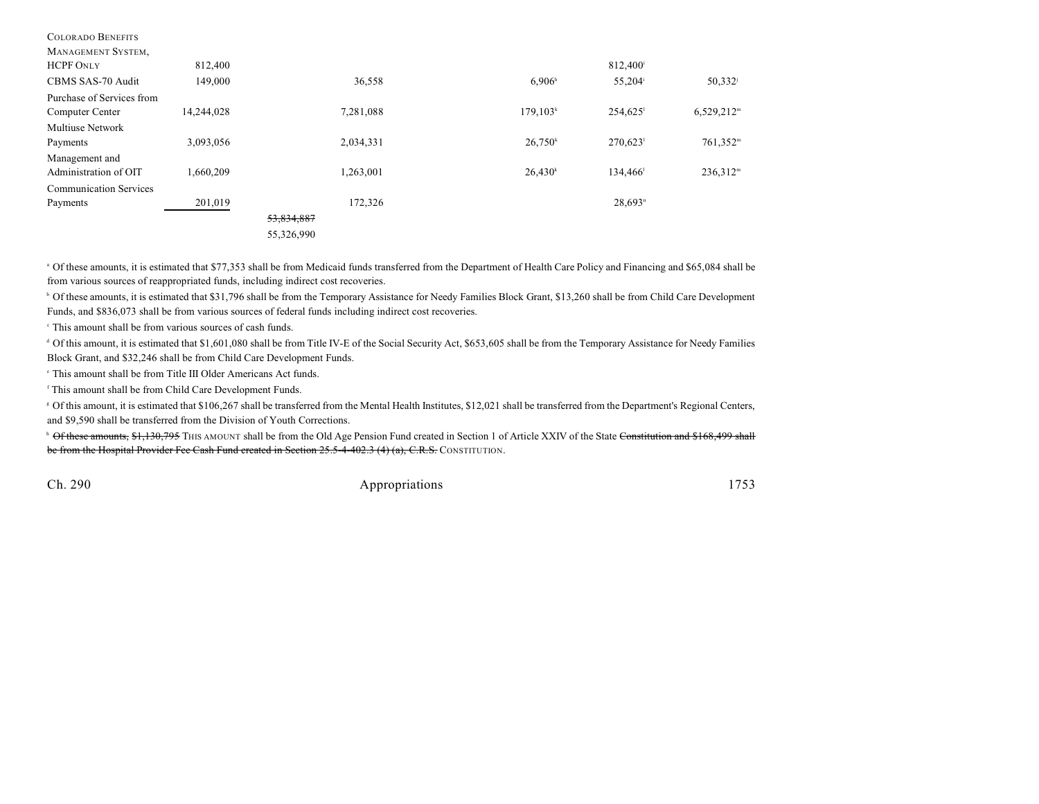| <b>COLORADO BENEFITS</b>      |            |            |           |                      |                        |                      |
|-------------------------------|------------|------------|-----------|----------------------|------------------------|----------------------|
| MANAGEMENT SYSTEM,            |            |            |           |                      |                        |                      |
| <b>HCPF ONLY</b>              | 812,400    |            |           |                      | 812,400                |                      |
| CBMS SAS-70 Audit             | 149,000    |            | 36,558    | 6.906 <sup>h</sup>   | 55,204 <sup>i</sup>    | $50,332^{j}$         |
| Purchase of Services from     |            |            |           |                      |                        |                      |
| Computer Center               | 14,244,028 |            | 7,281,088 | 179,103 <sup>k</sup> | $254,625$ <sup>1</sup> | $6,529,212^m$        |
| <b>Multiuse Network</b>       |            |            |           |                      |                        |                      |
| Payments                      | 3,093,056  |            | 2,034,331 | $26,750^k$           | $270,623$ <sup>1</sup> | 761,352 <sup>m</sup> |
| Management and                |            |            |           |                      |                        |                      |
| Administration of OIT         | 1.660.209  |            | 1,263,001 | 26,430 <sup>k</sup>  | 134,466                | $236,312^m$          |
| <b>Communication Services</b> |            |            |           |                      |                        |                      |
| Payments                      | 201,019    |            | 172,326   |                      | $28,693$ <sup>n</sup>  |                      |
|                               |            | 53,834,887 |           |                      |                        |                      |
|                               |            | 55,326,990 |           |                      |                        |                      |
|                               |            |            |           |                      |                        |                      |

<sup>a</sup> Of these amounts, it is estimated that \$77,353 shall be from Medicaid funds transferred from the Department of Health Care Policy and Financing and \$65,084 shall be from various sources of reappropriated funds, including indirect cost recoveries.

<sup>b</sup> Of these amounts, it is estimated that \$31,796 shall be from the Temporary Assistance for Needy Families Block Grant, \$13,260 shall be from Child Care Development Funds, and \$836,073 shall be from various sources of federal funds including indirect cost recoveries.

 $\cdot$  This amount shall be from various sources of cash funds.

<sup>d</sup> Of this amount, it is estimated that \$1,601,080 shall be from Title IV-E of the Social Security Act, \$653,605 shall be from the Temporary Assistance for Needy Families Block Grant, and \$32,246 shall be from Child Care Development Funds.

This amount shall be from Title III Older Americans Act funds. e

<sup>f</sup> This amount shall be from Child Care Development Funds.

Of this amount, it is estimated that \$106,267 shall be transferred from the Mental Health Institutes, \$12,021 shall be transferred from the Department's Regional Centers, <sup>g</sup> and \$9,590 shall be transferred from the Division of Youth Corrections.

<sup>h</sup> Of these amounts, \$1,130,795 THIS AMOUNT shall be from the Old Age Pension Fund created in Section 1 of Article XXIV of the State Constitution and \$168,499 shall be from the Hospital Provider Fee Cash Fund created in Section 25.5-4-402.3 (4) (a), C.R.S. CONSTITUTION.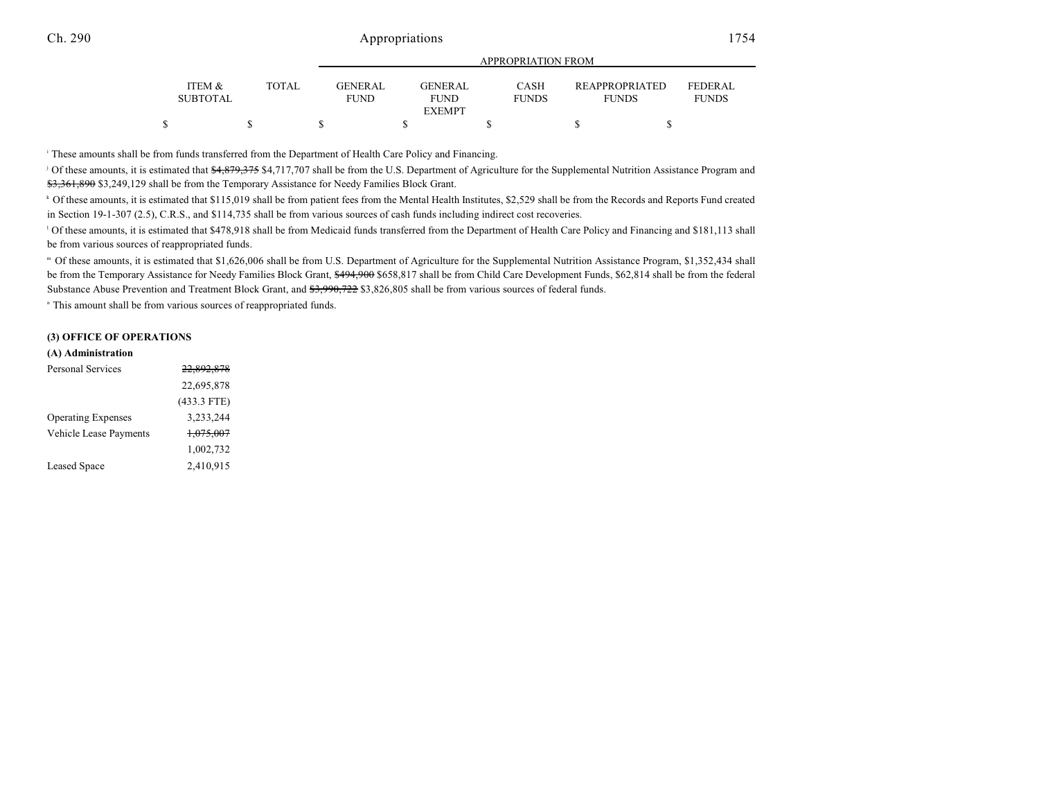|                           |              |                 |                               | $\ldots$                    |                                       |                                |
|---------------------------|--------------|-----------------|-------------------------------|-----------------------------|---------------------------------------|--------------------------------|
| ITEM &<br><b>SUBTOTAL</b> | <b>TOTAL</b> | GENERAL<br>FUND | <b>GENERAL</b><br><b>FUND</b> | <b>CASH</b><br><b>FUNDS</b> | <b>REAPPROPRIATED</b><br><b>FUNDS</b> | <b>FEDERAL</b><br><b>FUNDS</b> |
|                           |              |                 | <b>EXEMPT</b>                 |                             |                                       |                                |
| ጦ                         |              |                 |                               |                             |                                       |                                |

APPROPRIATION FROM

These amounts shall be from funds transferred from the Department of Health Care Policy and Financing. <sup>i</sup>

Of these amounts, it is estimated that \$4,879,375 \$4,717,707 shall be from the U.S. Department of Agriculture for the Supplemental Nutrition Assistance Program and \$3,361,890 \$3,249,129 shall be from the Temporary Assistance for Needy Families Block Grant.

<sup>k</sup> Of these amounts, it is estimated that \$115,019 shall be from patient fees from the Mental Health Institutes, \$2,529 shall be from the Records and Reports Fund created in Section 19-1-307 (2.5), C.R.S., and \$114,735 shall be from various sources of cash funds including indirect cost recoveries.

<sup>1</sup> Of these amounts, it is estimated that \$478,918 shall be from Medicaid funds transferred from the Department of Health Care Policy and Financing and \$181,113 shall be from various sources of reappropriated funds.

Of these amounts, it is estimated that \$1,626,006 shall be from U.S. Department of Agriculture for the Supplemental Nutrition Assistance Program, \$1,352,434 shall <sup>m</sup> be from the Temporary Assistance for Needy Families Block Grant, \$494,900 \$658,817 shall be from Child Care Development Funds, \$62,814 shall be from the federal Substance Abuse Prevention and Treatment Block Grant, and \$3,990,722 \$3,826,805 shall be from various sources of federal funds.

<sup>n</sup> This amount shall be from various sources of reappropriated funds.

### **(3) OFFICE OF OPERATIONS**

#### **(A) Administration**

| Personal Services             | <del>22,892,878</del> |
|-------------------------------|-----------------------|
|                               | 22,695,878            |
|                               | $(433.3$ FTE)         |
| <b>Operating Expenses</b>     | 3,233,244             |
| <b>Vehicle Lease Payments</b> | <del>1,075,007</del>  |
|                               | 1,002,732             |
| <b>Leased Space</b>           | 2,410,915             |
|                               |                       |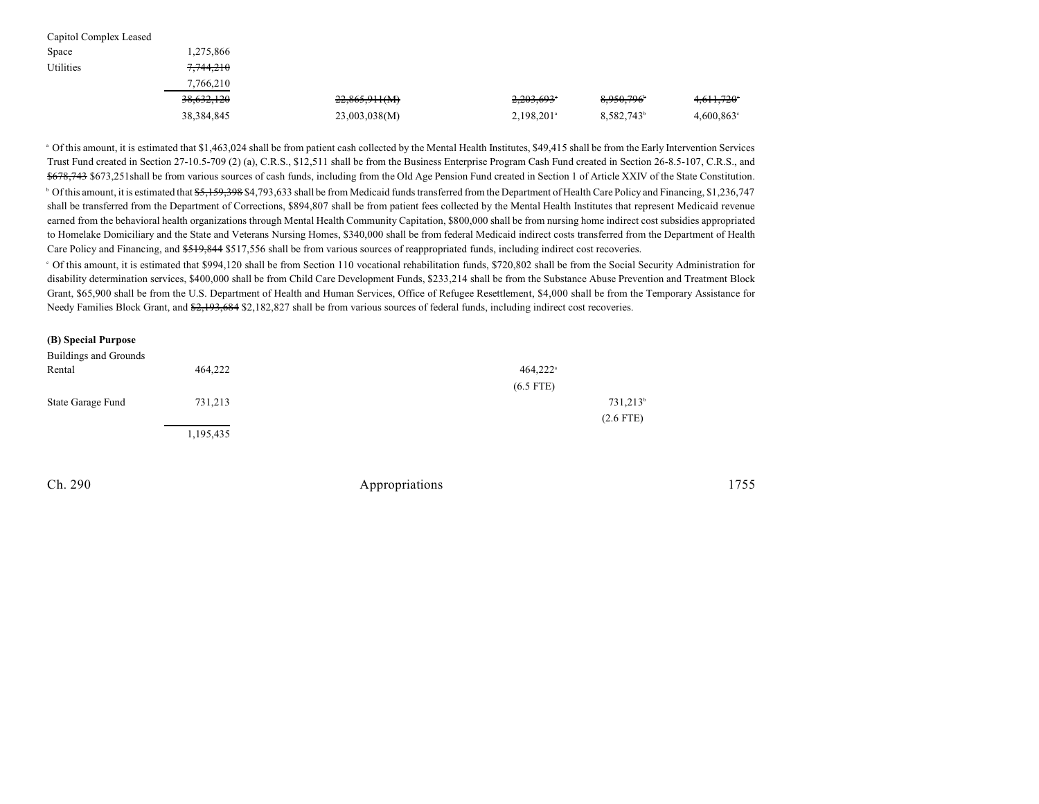| Capitol Complex Leased |              |               |                          |           |               |
|------------------------|--------------|---------------|--------------------------|-----------|---------------|
| Space                  | 1,275,866    |               |                          |           |               |
| Utilities              | 7.744.210    |               |                          |           |               |
|                        | 7,766,210    |               |                          |           |               |
|                        | 38,632,120   | 22,865,911(M) | 2,203,693*               | 8,950,796 | 4,611,720°    |
|                        | 38, 384, 845 | 23,003,038(M) | $2,198,201$ <sup>a</sup> | 8,582,743 | $4,600,863$ ° |

<sup>a</sup> Of this amount, it is estimated that \$1,463,024 shall be from patient cash collected by the Mental Health Institutes, \$49,415 shall be from the Early Intervention Services Trust Fund created in Section 27-10.5-709 (2) (a), C.R.S., \$12,511 shall be from the Business Enterprise Program Cash Fund created in Section 26-8.5-107, C.R.S., and \$678,743 \$673,251 shall be from various sources of cash funds, including from the Old Age Pension Fund created in Section 1 of Article XXIV of the State Constitution. <sup>b</sup> Of this amount, it is estimated that  $\frac{65}{159,398\,84,793,633}$  shall be from Medicaid funds transferred from the Department of Health Care Policy and Financing, \$1,236,747 shall be transferred from the Department of Corrections, \$894,807 shall be from patient fees collected by the Mental Health Institutes that represent Medicaid revenue earned from the behavioral health organizations through Mental Health Community Capitation, \$800,000 shall be from nursing home indirect cost subsidies appropriated to Homelake Domiciliary and the State and Veterans Nursing Homes, \$340,000 shall be from federal Medicaid indirect costs transferred from the Department of Health Care Policy and Financing, and  $$519,844$  \$517,556 shall be from various sources of reappropriated funds, including indirect cost recoveries.

 Of this amount, it is estimated that \$994,120 shall be from Section 110 vocational rehabilitation funds, \$720,802 shall be from the Social Security Administration for <sup>c</sup> disability determination services, \$400,000 shall be from Child Care Development Funds, \$233,214 shall be from the Substance Abuse Prevention and Treatment Block Grant, \$65,900 shall be from the U.S. Department of Health and Human Services, Office of Refugee Resettlement, \$4,000 shall be from the Temporary Assistance for Needy Families Block Grant, and \$2,193,684 \$2,182,827 shall be from various sources of federal funds, including indirect cost recoveries.

|  |  | (B) Special Purpose |
|--|--|---------------------|
|--|--|---------------------|

| Buildings and Grounds<br>Rental | 464,222   | $464,222^{\circ}$    |
|---------------------------------|-----------|----------------------|
|                                 |           |                      |
|                                 |           | $(6.5$ FTE)          |
| State Garage Fund               | 731,213   | 731,213 <sup>b</sup> |
|                                 |           | $(2.6$ FTE)          |
|                                 | 1,195,435 |                      |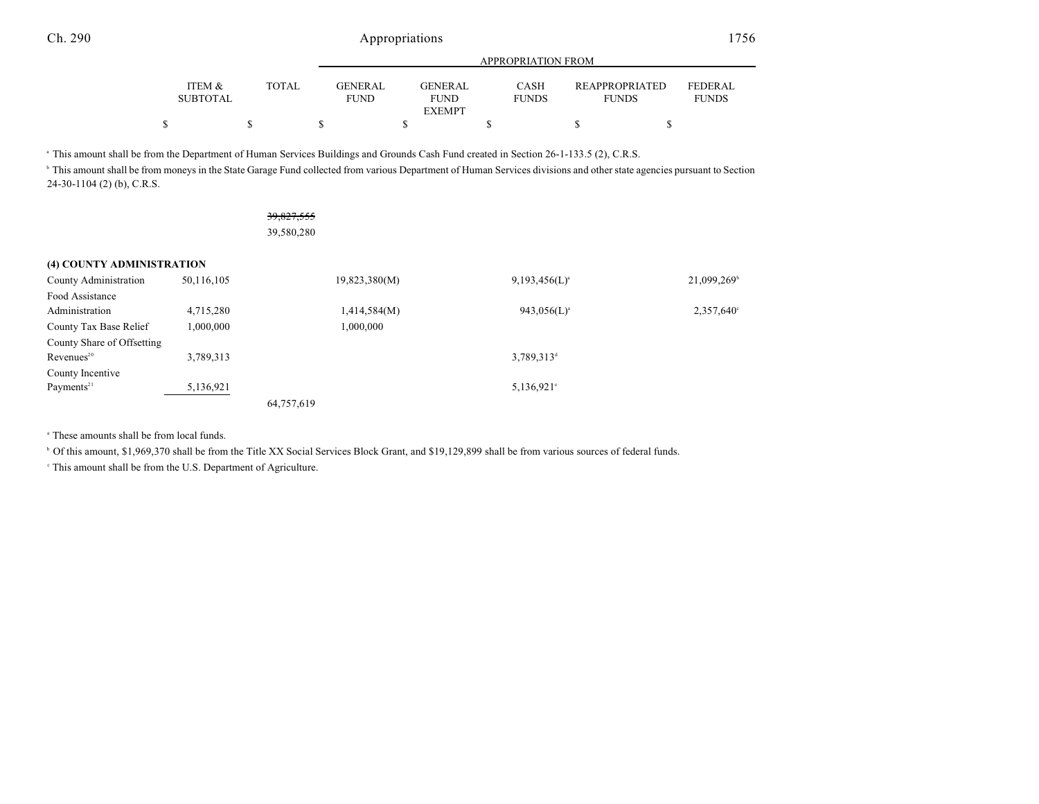|                           |       | APPROPRIATION FROM                                 |                             |                                       |                                |  |  |  |  |
|---------------------------|-------|----------------------------------------------------|-----------------------------|---------------------------------------|--------------------------------|--|--|--|--|
| ITEM &<br><b>SUBTOTAL</b> | TOTAL | <b>GENERAL</b><br>GENER AL.<br>FUND<br><b>FUND</b> | <b>CASH</b><br><b>FUNDS</b> | <b>REAPPROPRIATED</b><br><b>FUNDS</b> | <b>FEDERAL</b><br><b>FUNDS</b> |  |  |  |  |
|                           |       | <b>EXEMPT</b>                                      |                             |                                       |                                |  |  |  |  |
|                           |       |                                                    |                             |                                       |                                |  |  |  |  |

<sup>a</sup> This amount shall be from the Department of Human Services Buildings and Grounds Cash Fund created in Section 26-1-133.5 (2), C.R.S.

<sup>b</sup> This amount shall be from moneys in the State Garage Fund collected from various Department of Human Services divisions and other state agencies pursuant to Section 24-30-1104 (2) (b), C.R.S.

|                            |            | 39,827,555    |                        |                     |
|----------------------------|------------|---------------|------------------------|---------------------|
|                            |            | 39,580,280    |                        |                     |
| (4) COUNTY ADMINISTRATION  |            |               |                        |                     |
| County Administration      | 50,116,105 | 19,823,380(M) | $9,193,456(L)^a$       | 21,099,269          |
| Food Assistance            |            |               |                        |                     |
| Administration             | 4,715,280  | 1,414,584(M)  | $943,056(L)^a$         | $2,357,640^{\circ}$ |
| County Tax Base Relief     | 1,000,000  | 1,000,000     |                        |                     |
| County Share of Offsetting |            |               |                        |                     |
| Revenues <sup>20</sup>     | 3,789,313  |               | 3,789,313 <sup>d</sup> |                     |
| County Incentive           |            |               |                        |                     |
| Payments <sup>21</sup>     | 5,136,921  |               | $5,136,921$ °          |                     |
|                            |            | 64,757,619    |                        |                     |

<sup>a</sup> These amounts shall be from local funds.

 $\degree$  Of this amount, \$1,969,370 shall be from the Title XX Social Services Block Grant, and \$19,129,899 shall be from various sources of federal funds.

 $\degree$  This amount shall be from the U.S. Department of Agriculture.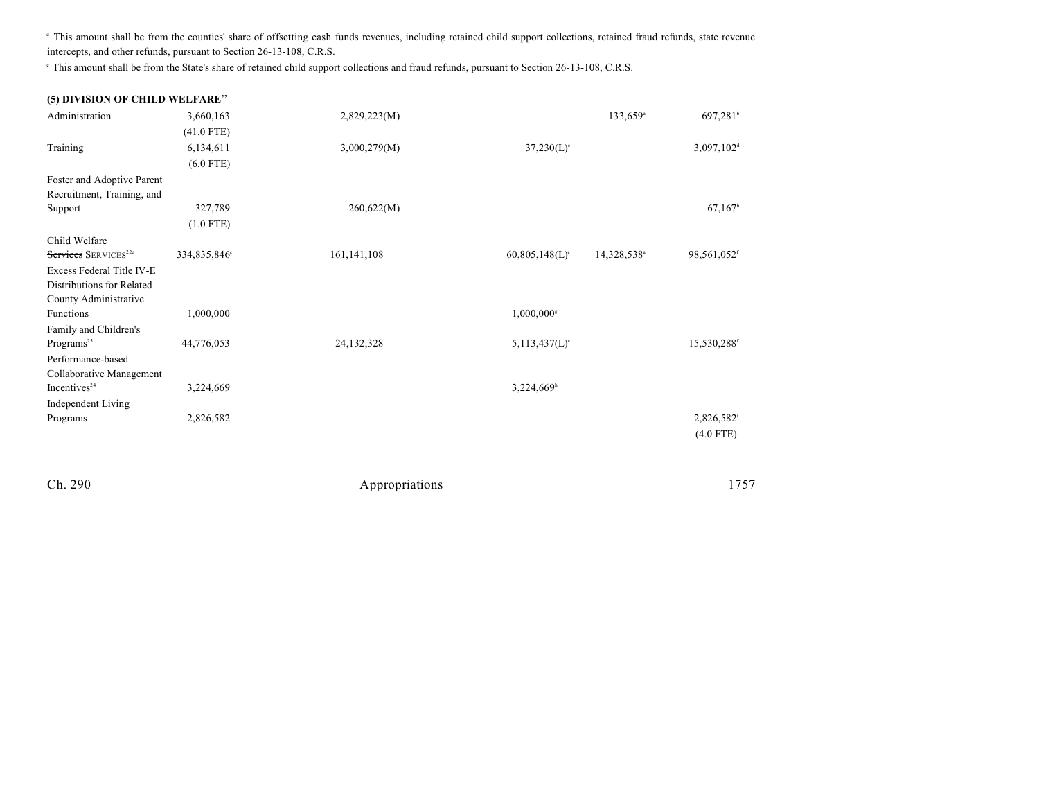<sup>d</sup> This amount shall be from the counties' share of offsetting cash funds revenues, including retained child support collections, retained fraud refunds, state revenue intercepts, and other refunds, pursuant to Section 26-13-108, C.R.S.

This amount shall be from the State's share of retained child support collections and fraud refunds, pursuant to Section 26-13-108, C.R.S. <sup>e</sup>

| (5) DIVISION OF CHILD WELFARE <sup>22</sup> |              |               |                              |                         |                          |
|---------------------------------------------|--------------|---------------|------------------------------|-------------------------|--------------------------|
| Administration                              | 3,660,163    | 2,829,223(M)  |                              | 133,659 <sup>a</sup>    | 697,281 <sup>b</sup>     |
|                                             | $(41.0$ FTE) |               |                              |                         |                          |
| Training                                    | 6,134,611    | 3,000,279(M)  | $37,230(L)$ °                |                         | $3,097,102$ <sup>d</sup> |
|                                             | $(6.0$ FTE)  |               |                              |                         |                          |
| Foster and Adoptive Parent                  |              |               |                              |                         |                          |
| Recruitment, Training, and                  |              |               |                              |                         |                          |
| Support                                     | 327,789      | 260,622(M)    |                              |                         | 67,167                   |
|                                             | $(1.0$ FTE)  |               |                              |                         |                          |
| Child Welfare                               |              |               |                              |                         |                          |
| Services SERVICES <sup>22a</sup>            | 334,835,846° | 161, 141, 108 | $60,805,148(L)$ <sup>c</sup> | 14,328,538 <sup>a</sup> | 98,561,052f              |
| Excess Federal Title IV-E                   |              |               |                              |                         |                          |
| Distributions for Related                   |              |               |                              |                         |                          |
| County Administrative                       |              |               |                              |                         |                          |
| <b>Functions</b>                            | 1,000,000    |               | $1,000,000$ <sup>s</sup>     |                         |                          |
| Family and Children's                       |              |               |                              |                         |                          |
| Programs <sup>23</sup>                      | 44,776,053   | 24, 132, 328  | $5,113,437(L)$ <sup>c</sup>  |                         | 15,530,288 <sup>f</sup>  |
| Performance-based                           |              |               |                              |                         |                          |
| Collaborative Management                    |              |               |                              |                         |                          |
| Incentives <sup>24</sup>                    | 3,224,669    |               | 3,224,669h                   |                         |                          |
| Independent Living                          |              |               |                              |                         |                          |
| Programs                                    | 2,826,582    |               |                              |                         | 2,826,582                |
|                                             |              |               |                              |                         | $(4.0$ FTE)              |
|                                             |              |               |                              |                         |                          |
|                                             |              |               |                              |                         |                          |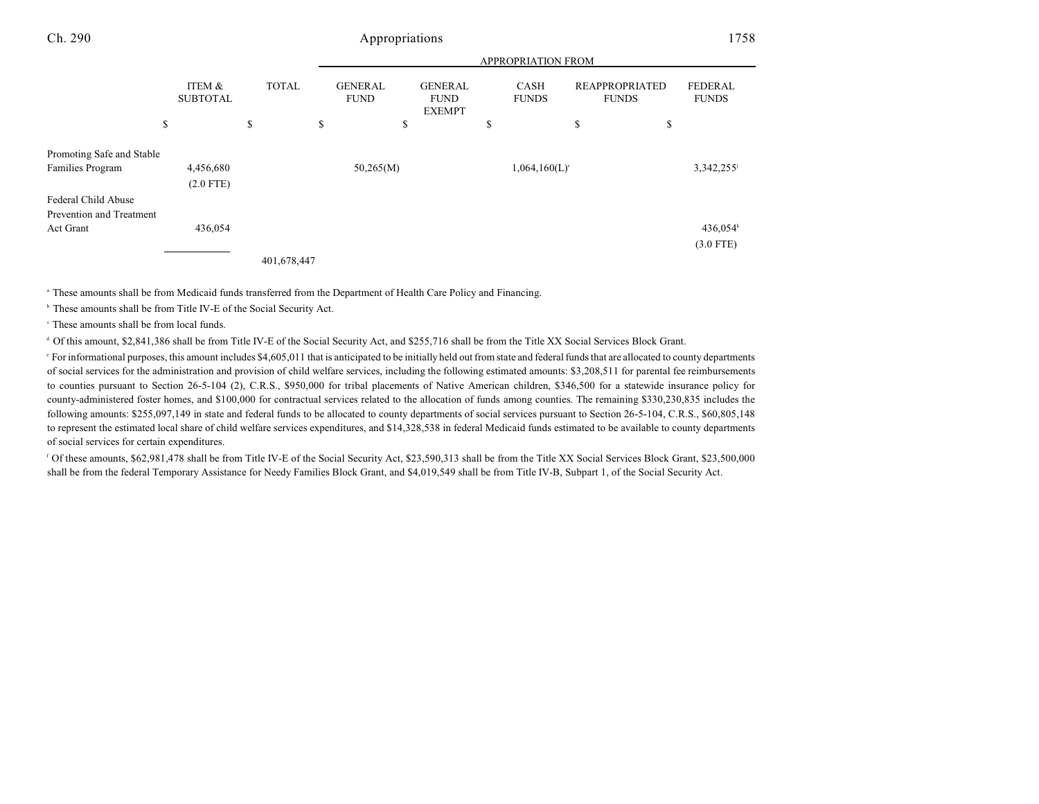|                           |                           |              | APPROPRIATION FROM            |                                                |    |                             |                                       |                                |
|---------------------------|---------------------------|--------------|-------------------------------|------------------------------------------------|----|-----------------------------|---------------------------------------|--------------------------------|
|                           | ITEM &<br><b>SUBTOTAL</b> | <b>TOTAL</b> | <b>GENERAL</b><br><b>FUND</b> | <b>GENERAL</b><br><b>FUND</b><br><b>EXEMPT</b> |    | <b>CASH</b><br><b>FUNDS</b> | <b>REAPPROPRIATED</b><br><b>FUNDS</b> | <b>FEDERAL</b><br><b>FUNDS</b> |
|                           | \$                        | \$           | \$<br>\$                      |                                                | \$ |                             | \$                                    | \$                             |
| Promoting Safe and Stable |                           |              |                               |                                                |    |                             |                                       |                                |
| Families Program          | 4,456,680                 |              | 50,265(M)                     |                                                |    | $1,064,160(L)$ <sup>c</sup> |                                       | 3,342,255                      |
|                           | $(2.0$ FTE)               |              |                               |                                                |    |                             |                                       |                                |
| Federal Child Abuse       |                           |              |                               |                                                |    |                             |                                       |                                |
| Prevention and Treatment  |                           |              |                               |                                                |    |                             |                                       |                                |
| Act Grant                 | 436,054                   |              |                               |                                                |    |                             |                                       | 436,054 <sup>k</sup>           |
|                           |                           |              |                               |                                                |    |                             |                                       | $(3.0$ FTE)                    |
|                           |                           | 401,678,447  |                               |                                                |    |                             |                                       |                                |

<sup>a</sup> These amounts shall be from Medicaid funds transferred from the Department of Health Care Policy and Financing.

<sup>b</sup> These amounts shall be from Title IV-E of the Social Security Act.

 $\degree$  These amounts shall be from local funds.

<sup>d</sup> Of this amount, \$2,841,386 shall be from Title IV-E of the Social Security Act, and \$255,716 shall be from the Title XX Social Services Block Grant.

For informational purposes, this amount includes \$4,605,011 that is anticipated to be initially held out from state and federal fundsthat are allocated to county departments e of social services for the administration and provision of child welfare services, including the following estimated amounts: \$3,208,511 for parental fee reimbursements to counties pursuant to Section 26-5-104 (2), C.R.S., \$950,000 for tribal placements of Native American children, \$346,500 for a statewide insurance policy for county-administered foster homes, and \$100,000 for contractual services related to the allocation of funds among counties. The remaining \$330,230,835 includes the following amounts: \$255,097,149 in state and federal funds to be allocated to county departments of social services pursuant to Section 26-5-104, C.R.S., \$60,805,148 to represent the estimated local share of child welfare services expenditures, and \$14,328,538 in federal Medicaid funds estimated to be available to county departments of social services for certain expenditures.

Of these amounts, \$62,981,478 shall be from Title IV-E of the Social Security Act, \$23,590,313 shall be from the Title XX Social Services Block Grant, \$23,500,000 shall be from the federal Temporary Assistance for Needy Families Block Grant, and \$4,019,549 shall be from Title IV-B, Subpart 1, of the Social Security Act.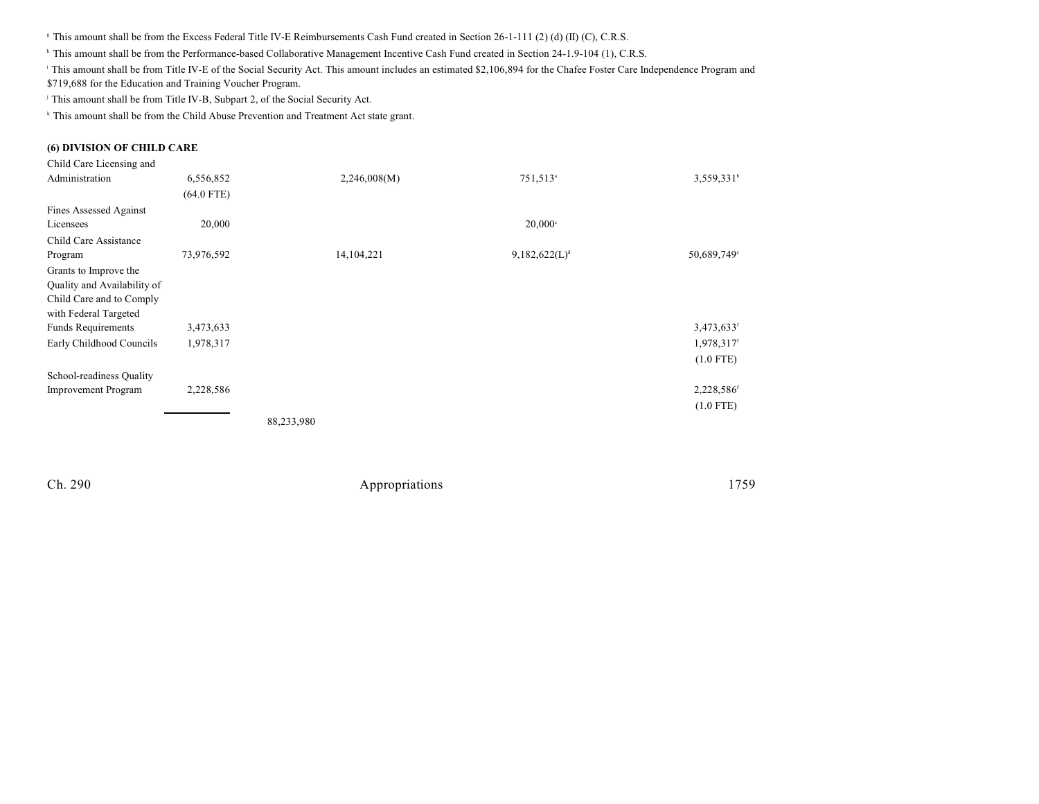<sup>8</sup> This amount shall be from the Excess Federal Title IV-E Reimbursements Cash Fund created in Section 26-1-111 (2) (d) (II) (C), C.R.S.

<sup>h</sup> This amount shall be from the Performance-based Collaborative Management Incentive Cash Fund created in Section 24-1.9-104 (1), C.R.S.

This amount shall be from Title IV-E of the Social Security Act. This amount includes an estimated \$2,106,894 for the Chafee Foster Care Independence Program and \$719,688 for the Education and Training Voucher Program.

<sup>j</sup> This amount shall be from Title IV-B, Subpart 2, of the Social Security Act.

<sup>k</sup> This amount shall be from the Child Abuse Prevention and Treatment Act state grant.

### **(6) DIVISION OF CHILD CARE**

| Child Care Licensing and    |              |              |                           |                         |
|-----------------------------|--------------|--------------|---------------------------|-------------------------|
| Administration              | 6,556,852    | 2,246,008(M) | 751,513 <sup>a</sup>      | 3,559,331 <sup>b</sup>  |
|                             | $(64.0$ FTE) |              |                           |                         |
| Fines Assessed Against      |              |              |                           |                         |
| Licensees                   | 20,000       |              | $20,000$ <sup>c</sup>     |                         |
| Child Care Assistance       |              |              |                           |                         |
| Program                     | 73,976,592   | 14, 104, 221 | 9,182,622(L) <sup>d</sup> | 50,689,749 <sup>e</sup> |
| Grants to Improve the       |              |              |                           |                         |
| Quality and Availability of |              |              |                           |                         |
| Child Care and to Comply    |              |              |                           |                         |
| with Federal Targeted       |              |              |                           |                         |
| <b>Funds Requirements</b>   | 3,473,633    |              |                           | 3,473,633 <sup>f</sup>  |
| Early Childhood Councils    | 1,978,317    |              |                           | 1,978,317 <sup>f</sup>  |
|                             |              |              |                           | $(1.0$ FTE)             |
| School-readiness Quality    |              |              |                           |                         |
| <b>Improvement Program</b>  | 2,228,586    |              |                           | 2,228,586 <sup>f</sup>  |
|                             |              |              |                           | $(1.0$ FTE)             |
|                             |              | 88,233,980   |                           |                         |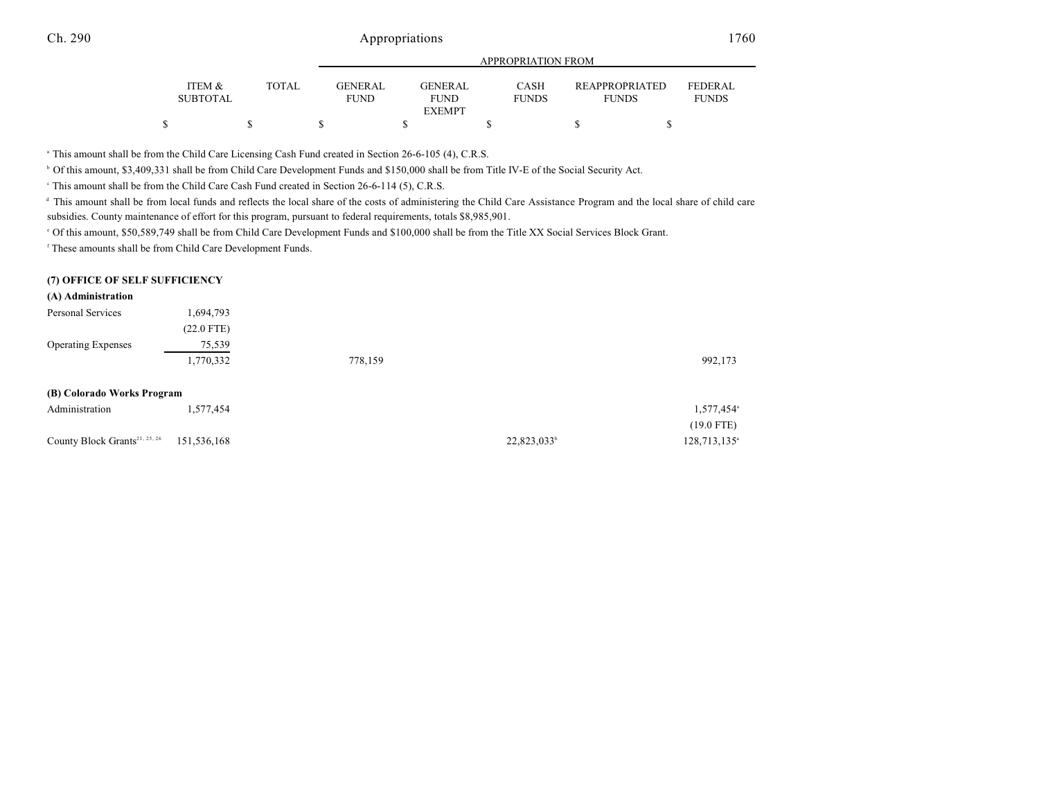| ITEM &<br><b>SUBTOTAL</b> | TOTAL | <b>GENER AL</b><br><b>FUND</b> | GENERAL<br><b>FUND</b> | <b>CASH</b><br><b>FUNDS</b> | <b>REAPPROPRIATED</b><br><b>FUNDS</b> | <b>FEDERAL</b><br><b>FUNDS</b> |
|---------------------------|-------|--------------------------------|------------------------|-----------------------------|---------------------------------------|--------------------------------|
|                           |       |                                | <b>EXEMPT</b>          |                             |                                       |                                |
|                           |       |                                |                        |                             |                                       |                                |

<sup>a</sup> This amount shall be from the Child Care Licensing Cash Fund created in Section 26-6-105 (4), C.R.S.

<sup>b</sup> Of this amount, \$3,409,331 shall be from Child Care Development Funds and \$150,000 shall be from Title IV-E of the Social Security Act.

<sup>e</sup> This amount shall be from the Child Care Cash Fund created in Section 26-6-114 (5), C.R.S.

<sup>d</sup> This amount shall be from local funds and reflects the local share of the costs of administering the Child Care Assistance Program and the local share of child care subsidies. County maintenance of effort for this program, pursuant to federal requirements, totals \$8,985,901.

<sup>o</sup> Of this amount, \$50,589,749 shall be from Child Care Development Funds and \$100,000 shall be from the Title XX Social Services Block Grant.

<sup>f</sup> These amounts shall be from Child Care Development Funds.

### **(7) OFFICE OF SELF SUFFICIENCY**

### **(A) Administration**

| Personal Services                         | 1,694,793    |         |                         |                          |
|-------------------------------------------|--------------|---------|-------------------------|--------------------------|
|                                           | $(22.0$ FTE) |         |                         |                          |
| <b>Operating Expenses</b>                 | 75,539       |         |                         |                          |
|                                           | 1,770,332    | 778,159 |                         | 992,173                  |
|                                           |              |         |                         |                          |
| (B) Colorado Works Program                |              |         |                         |                          |
| Administration                            | 1,577,454    |         |                         | 1,577,454 <sup>a</sup>   |
|                                           |              |         |                         | $(19.0$ FTE)             |
| County Block Grants <sup>21, 25, 26</sup> | 151,536,168  |         | 22,823,033 <sup>b</sup> | 128,713,135 <sup>a</sup> |
|                                           |              |         |                         |                          |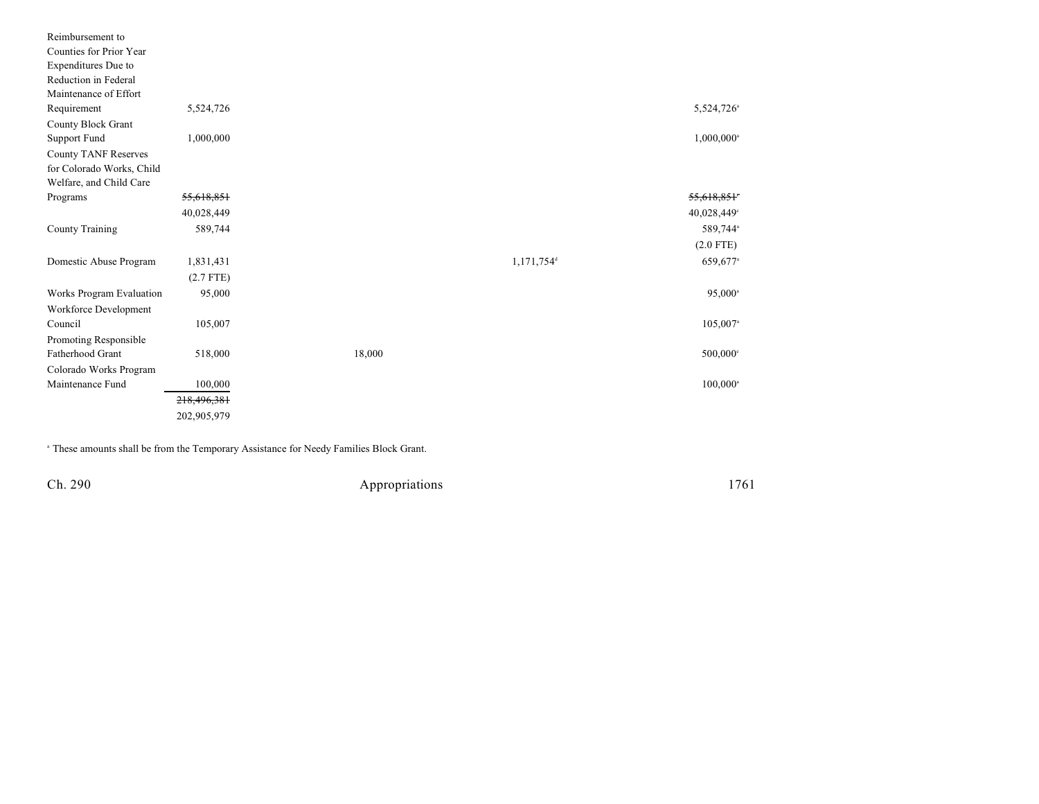| Reimbursement to          |             |        |                        |                          |
|---------------------------|-------------|--------|------------------------|--------------------------|
| Counties for Prior Year   |             |        |                        |                          |
| Expenditures Due to       |             |        |                        |                          |
| Reduction in Federal      |             |        |                        |                          |
| Maintenance of Effort     |             |        |                        |                          |
| Requirement               | 5,524,726   |        |                        | 5,524,726 <sup>a</sup>   |
| <b>County Block Grant</b> |             |        |                        |                          |
| Support Fund              | 1,000,000   |        |                        | $1,000,000$ <sup>a</sup> |
| County TANF Reserves      |             |        |                        |                          |
| for Colorado Works, Child |             |        |                        |                          |
| Welfare, and Child Care   |             |        |                        |                          |
| Programs                  | 55,618,851  |        |                        | 55,618,851               |
|                           | 40,028,449  |        |                        | 40,028,449°              |
| County Training           | 589,744     |        |                        | 589,744 <sup>a</sup>     |
|                           |             |        |                        | $(2.0$ FTE)              |
| Domestic Abuse Program    | 1,831,431   |        | 1,171,754 <sup>d</sup> | 659,677 <sup>a</sup>     |
|                           | $(2.7$ FTE) |        |                        |                          |
| Works Program Evaluation  | 95,000      |        |                        | $95,000^{\circ}$         |
| Workforce Development     |             |        |                        |                          |
| Council                   | 105,007     |        |                        | 105,007 <sup>a</sup>     |
| Promoting Responsible     |             |        |                        |                          |
| Fatherhood Grant          | 518,000     | 18,000 |                        | $500,000$ <sup>c</sup>   |
| Colorado Works Program    |             |        |                        |                          |
| Maintenance Fund          | 100,000     |        |                        | $100,000^{\circ}$        |
|                           | 218,496,381 |        |                        |                          |
|                           | 202,905,979 |        |                        |                          |

<sup>a</sup> These amounts shall be from the Temporary Assistance for Needy Families Block Grant.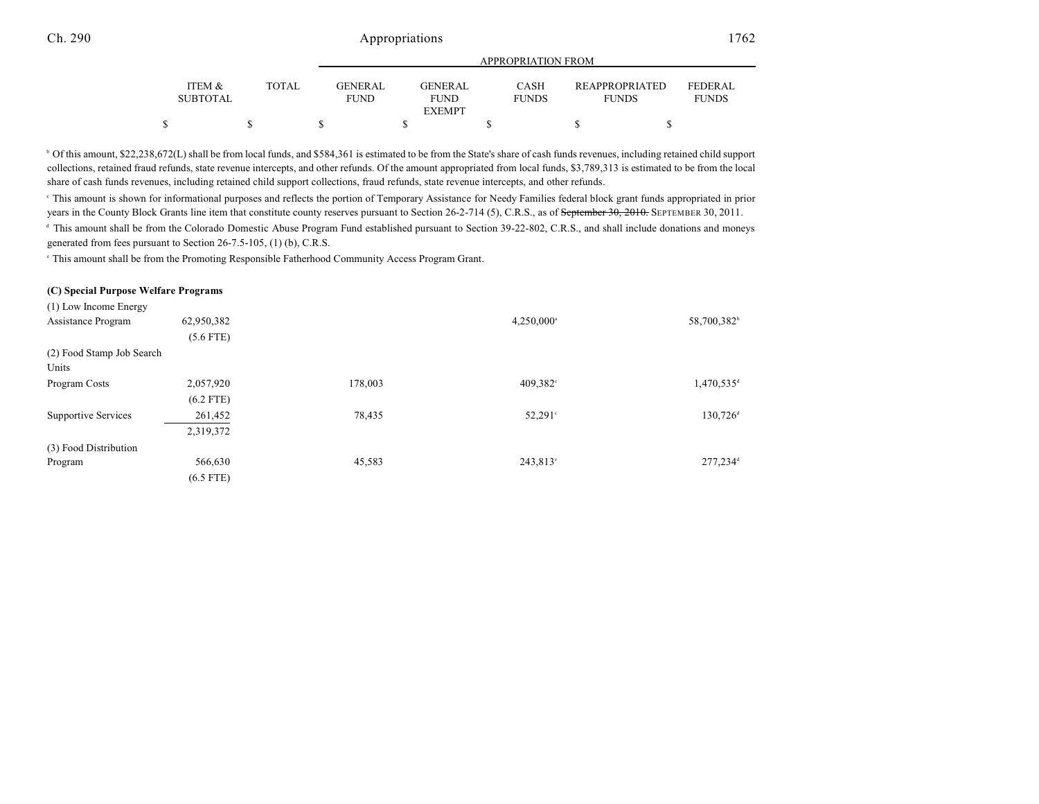|                                      |              | APPROPRIATION FROM            |  |                                |  |                             |  |                                       |  |                                |
|--------------------------------------|--------------|-------------------------------|--|--------------------------------|--|-----------------------------|--|---------------------------------------|--|--------------------------------|
| <b>ITEM &amp;</b><br><b>SUBTOTAL</b> | <b>TOTAL</b> | <b>GENERAL</b><br><b>FUND</b> |  | <b>GENER AL</b><br><b>FUND</b> |  | <b>CASH</b><br><b>FUNDS</b> |  | <b>REAPPROPRIATED</b><br><b>FUNDS</b> |  | <b>FEDERAL</b><br><b>FUNDS</b> |
|                                      |              |                               |  | <b>EXEMPT</b>                  |  |                             |  |                                       |  |                                |
|                                      |              |                               |  |                                |  |                             |  |                                       |  |                                |

<sup>b</sup> Of this amount, \$22,238,672(L) shall be from local funds, and \$584,361 is estimated to be from the State's share of cash funds revenues, including retained child support collections, retained fraud refunds, state revenue intercepts, and other refunds. Of the amount appropriated from local funds, \$3,789,313 is estimated to be from the local share of cash funds revenues, including retained child support collections, fraud refunds, state revenue intercepts, and other refunds.

This amount is shown for informational purposes and reflects the portion of Temporary Assistance for Needy Families federal block grant funds appropriated in prior <sup>c</sup> years in the County Block Grants line item that constitute county reserves pursuant to Section 26-2-714 (5), C.R.S., as of September 30, 2010. SEPTEMBER 30, 2011.

<sup>d</sup> This amount shall be from the Colorado Domestic Abuse Program Fund established pursuant to Section 39-22-802, C.R.S., and shall include donations and moneys generated from fees pursuant to Section 26-7.5-105, (1) (b), C.R.S.

This amount shall be from the Promoting Responsible Fatherhood Community Access Program Grant.

#### **(C) Special Purpose Welfare Programs**

| (1) Low Income Energy      |             |         |                     |                          |
|----------------------------|-------------|---------|---------------------|--------------------------|
| Assistance Program         | 62,950,382  |         | $4,250,000^{\circ}$ | 58,700,382 <sup>b</sup>  |
|                            | $(5.6$ FTE) |         |                     |                          |
| (2) Food Stamp Job Search  |             |         |                     |                          |
| Units                      |             |         |                     |                          |
| Program Costs              | 2,057,920   | 178,003 | $409,382$ °         | $1,470,535$ <sup>d</sup> |
|                            | $(6.2$ FTE) |         |                     |                          |
| <b>Supportive Services</b> | 261,452     | 78,435  | $52,291^{\circ}$    | $130,726$ <sup>d</sup>   |
|                            | 2,319,372   |         |                     |                          |
| (3) Food Distribution      |             |         |                     |                          |
| Program                    | 566,630     | 45,583  | $243,813^{\circ}$   | 277,234 <sup>d</sup>     |
|                            | $(6.5$ FTE) |         |                     |                          |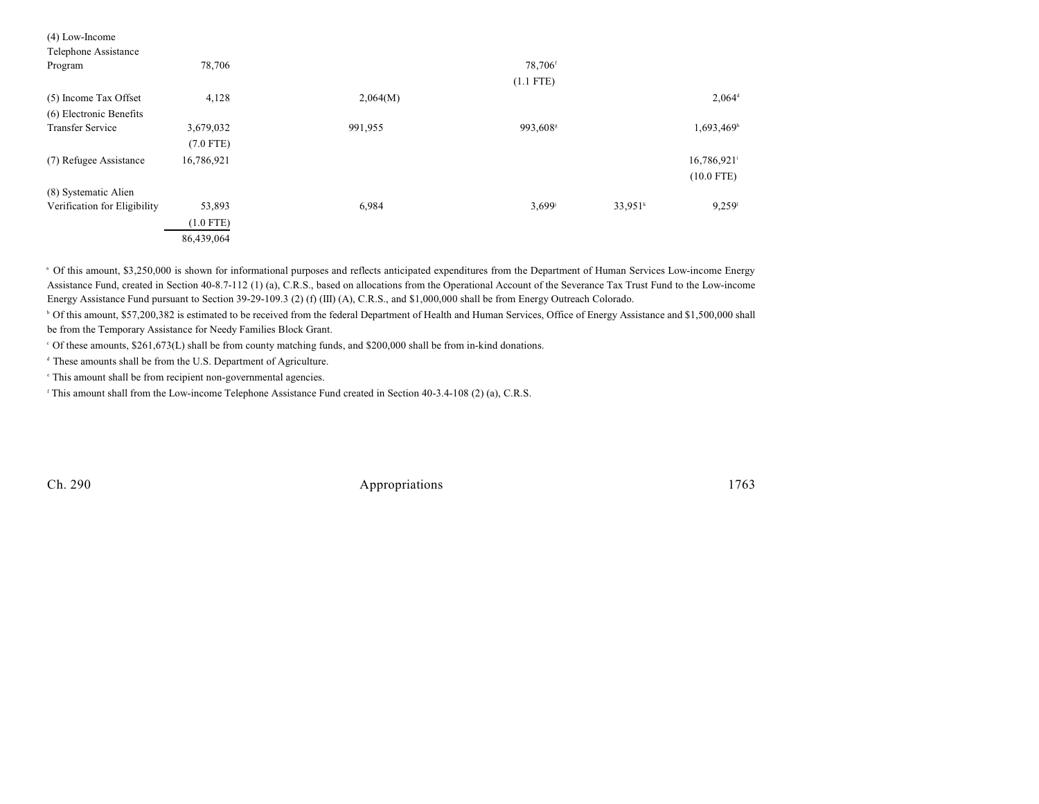| $(4)$ Low-Income             |             |          |                      |            |                         |  |
|------------------------------|-------------|----------|----------------------|------------|-------------------------|--|
| Telephone Assistance         |             |          |                      |            |                         |  |
| Program                      | 78,706      |          | 78,706 <sup>f</sup>  |            |                         |  |
|                              |             |          | $(1.1$ FTE)          |            |                         |  |
| (5) Income Tax Offset        | 4,128       | 2,064(M) |                      |            | $2,064^{\rm d}$         |  |
| (6) Electronic Benefits      |             |          |                      |            |                         |  |
| <b>Transfer Service</b>      | 3,679,032   | 991,955  | 993,608 <sup>s</sup> |            | 1,693,469h              |  |
|                              | $(7.0$ FTE) |          |                      |            |                         |  |
| (7) Refugee Assistance       | 16,786,921  |          |                      |            | 16,786,921 <sup>i</sup> |  |
|                              |             |          |                      |            | $(10.0$ FTE)            |  |
| (8) Systematic Alien         |             |          |                      |            |                         |  |
| Verification for Eligibility | 53,893      | 6,984    | 3,699                | $33.951^k$ | $9,259$ <sup>1</sup>    |  |
|                              | $(1.0$ FTE) |          |                      |            |                         |  |
|                              | 86,439,064  |          |                      |            |                         |  |
|                              |             |          |                      |            |                         |  |

<sup>a</sup> Of this amount, \$3,250,000 is shown for informational purposes and reflects anticipated expenditures from the Department of Human Services Low-income Energy Assistance Fund, created in Section 40-8.7-112 (1) (a), C.R.S., based on allocations from the Operational Account of the Severance Tax Trust Fund to the Low-income Energy Assistance Fund pursuant to Section 39-29-109.3 (2) (f) (III) (A), C.R.S., and \$1,000,000 shall be from Energy Outreach Colorado.

<sup>b</sup> Of this amount, \$57,200,382 is estimated to be received from the federal Department of Health and Human Services, Office of Energy Assistance and \$1,500,000 shall be from the Temporary Assistance for Needy Families Block Grant.

Of these amounts, \$261,673(L) shall be from county matching funds, and \$200,000 shall be from in-kind donations. <sup>c</sup>

<sup>d</sup> These amounts shall be from the U.S. Department of Agriculture.

<sup>e</sup> This amount shall be from recipient non-governmental agencies.

<sup>f</sup> This amount shall from the Low-income Telephone Assistance Fund created in Section 40-3.4-108 (2) (a), C.R.S.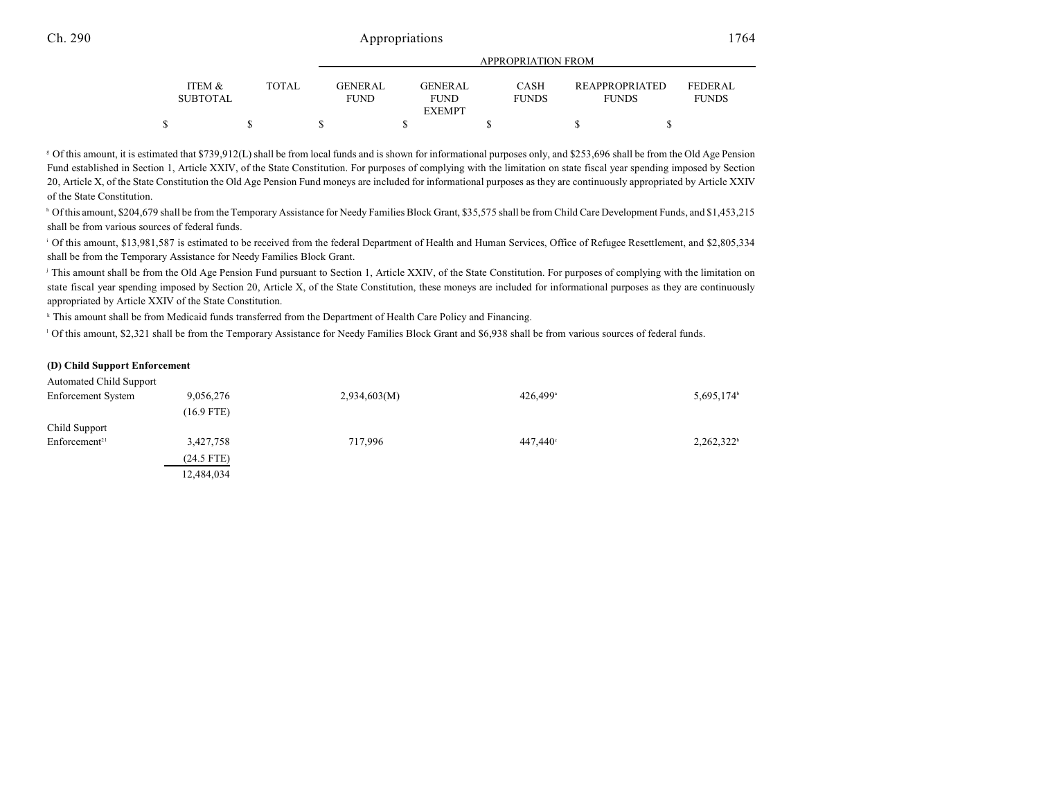|  |                           |  |       |  | APPROPRIATION FROM             |  |                          |  |                             |  |                                       |                                |
|--|---------------------------|--|-------|--|--------------------------------|--|--------------------------|--|-----------------------------|--|---------------------------------------|--------------------------------|
|  | ITEM &<br><b>SUBTOTAL</b> |  | TOTAL |  | <b>GENER AL</b><br><b>FUND</b> |  | GENER AL.<br><b>FUND</b> |  | <b>CASH</b><br><b>FUNDS</b> |  | <b>REAPPROPRIATED</b><br><b>FUNDS</b> | <b>FEDERAL</b><br><b>FUNDS</b> |
|  |                           |  |       |  |                                |  | <b>EXEMPT</b>            |  |                             |  |                                       |                                |
|  |                           |  |       |  |                                |  |                          |  |                             |  |                                       |                                |

Of this amount, it is estimated that \$739,912(L) shall be from local funds and is shown for informational purposes only, and \$253,696 shall be from the Old Age Pension <sup>g</sup> Fund established in Section 1, Article XXIV, of the State Constitution. For purposes of complying with the limitation on state fiscal year spending imposed by Section 20, Article X, of the State Constitution the Old Age Pension Fund moneys are included for informational purposes as they are continuously appropriated by Article XXIV of the State Constitution.

<sup>h</sup> Of this amount, \$204,679 shall be from the Temporary Assistance for Needy Families Block Grant, \$35,575 shall be from Child Care Development Funds, and \$1,453,215 shall be from various sources of federal funds.

<sup>1</sup> Of this amount, \$13,981,587 is estimated to be received from the federal Department of Health and Human Services, Office of Refugee Resettlement, and \$2,805,334 shall be from the Temporary Assistance for Needy Families Block Grant.

<sup>j</sup> This amount shall be from the Old Age Pension Fund pursuant to Section 1, Article XXIV, of the State Constitution. For purposes of complying with the limitation on state fiscal year spending imposed by Section 20, Article X, of the State Constitution, these moneys are included for informational purposes as they are continuously appropriated by Article XXIV of the State Constitution.

<sup>k</sup> This amount shall be from Medicaid funds transferred from the Department of Health Care Policy and Financing.

Of this amount, \$2,321 shall be from the Temporary Assistance for Needy Families Block Grant and \$6,938 shall be from various sources of federal funds.

#### **(D) Child Support Enforcement**

| <b>Automated Child Support</b> |              |              |                      |                        |
|--------------------------------|--------------|--------------|----------------------|------------------------|
| Enforcement System             | 9,056,276    | 2,934,603(M) | 426.499 <sup>a</sup> | 5,695,174 <sup>b</sup> |
|                                | $(16.9$ FTE) |              |                      |                        |
| Child Support                  |              |              |                      |                        |
| Enforcement <sup>21</sup>      | 3,427,758    | 717,996      | 447.440°             | $2,262,322^b$          |
|                                | $(24.5$ FTE) |              |                      |                        |
|                                | 12,484,034   |              |                      |                        |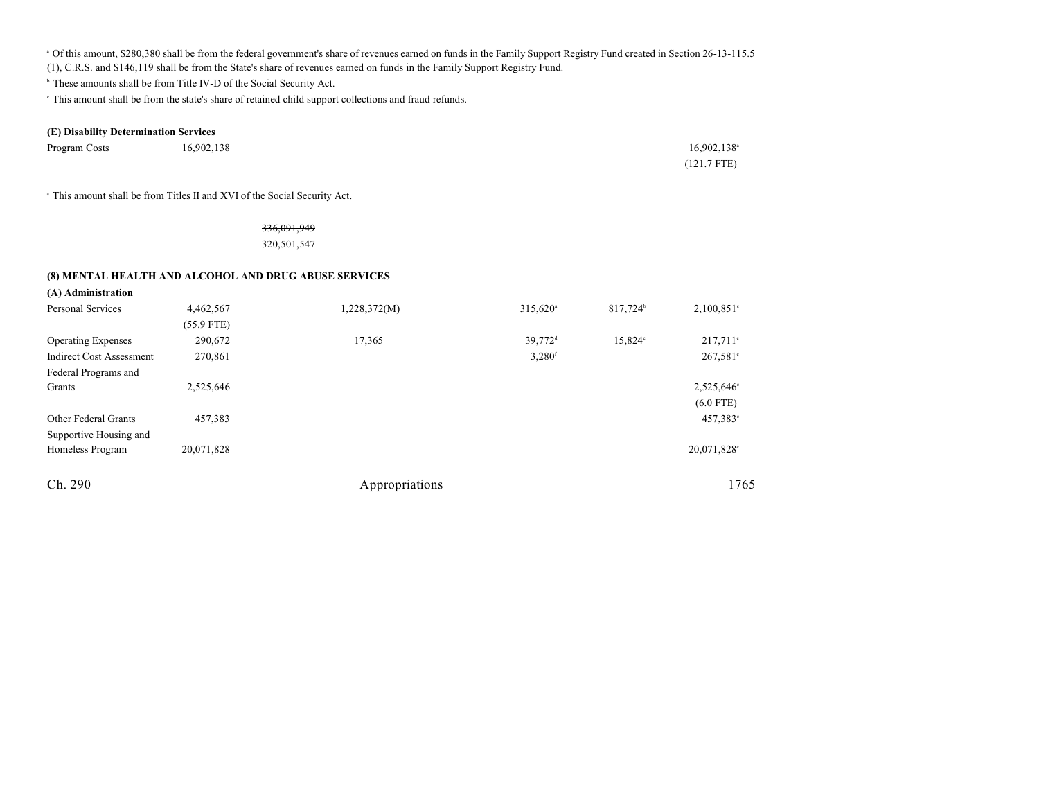<sup>a</sup> Of this amount, \$280,380 shall be from the federal government's share of revenues earned on funds in the Family Support Registry Fund created in Section 26-13-115.5

(1), C.R.S. and \$146,119 shall be from the State's share of revenues earned on funds in the Family Support Registry Fund.

<sup>b</sup> These amounts shall be from Title IV-D of the Social Security Act.

This amount shall be from the state's share of retained child support collections and fraud refunds. <sup>c</sup>

### **(E) Disability Determination Services**

| Program Costs | 16,902,138 | $16,902,138$ <sup>a</sup> |
|---------------|------------|---------------------------|
|               |            | $(121.7$ FTE)             |

<sup>a</sup> This amount shall be from Titles II and XVI of the Social Security Act.

#### 336,091,949

320,501,547

#### **(8) MENTAL HEALTH AND ALCOHOL AND DRUG ABUSE SERVICES**

| (A) Administration              |              |                |                      |                      |               |
|---------------------------------|--------------|----------------|----------------------|----------------------|---------------|
| <b>Personal Services</b>        | 4,462,567    | 1,228,372(M)   | 315,620 <sup>a</sup> | 817,724 <sup>b</sup> | $2,100,851$ ° |
|                                 | $(55.9$ FTE) |                |                      |                      |               |
| <b>Operating Expenses</b>       | 290,672      | 17,365         | 39,772 <sup>d</sup>  | 15,824°              | $217,711$ °   |
| <b>Indirect Cost Assessment</b> | 270,861      |                | $3,280$ <sup>f</sup> |                      | $267,581$ °   |
| Federal Programs and            |              |                |                      |                      |               |
| Grants                          | 2,525,646    |                |                      |                      | 2,525,646°    |
|                                 |              |                |                      |                      | $(6.0$ FTE)   |
| Other Federal Grants            | 457,383      |                |                      |                      | 457,383°      |
| Supportive Housing and          |              |                |                      |                      |               |
| Homeless Program                | 20,071,828   |                |                      |                      | 20,071,828°   |
| Ch. 290                         |              | Appropriations |                      |                      | 1765          |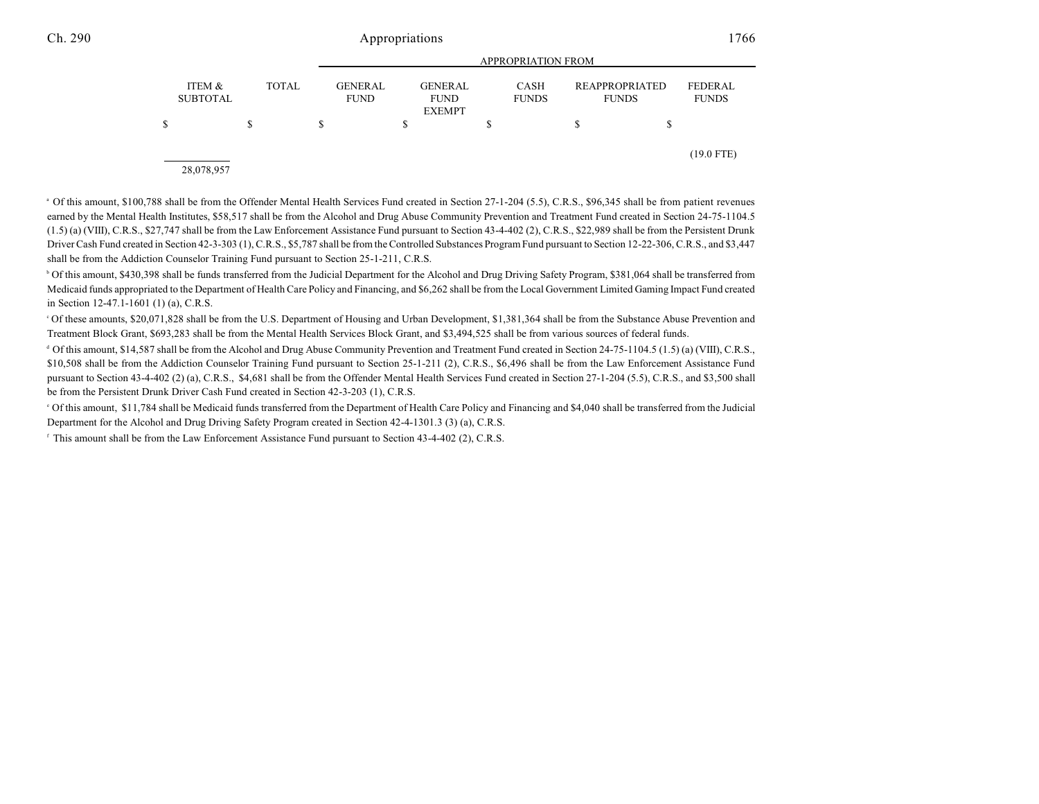|   |                           |   |              | <b>APPROPRIATION FROM</b>     |                                                |    |                             |                                |   |                                |
|---|---------------------------|---|--------------|-------------------------------|------------------------------------------------|----|-----------------------------|--------------------------------|---|--------------------------------|
|   | ITEM &<br><b>SUBTOTAL</b> |   | <b>TOTAL</b> | <b>GENERAL</b><br><b>FUND</b> | <b>GENERAL</b><br><b>FUND</b><br><b>EXEMPT</b> |    | <b>CASH</b><br><b>FUNDS</b> | REAPPROPRIATED<br><b>FUNDS</b> |   | <b>FEDERAL</b><br><b>FUNDS</b> |
| S |                           | S | S            |                               |                                                | \$ |                             | S                              | S |                                |
|   | 28,078,957                |   |              |                               |                                                |    |                             |                                |   | $(19.0$ FTE)                   |

<sup>a</sup> Of this amount, \$100,788 shall be from the Offender Mental Health Services Fund created in Section 27-1-204 (5.5), C.R.S., \$96,345 shall be from patient revenues earned by the Mental Health Institutes, \$58,517 shall be from the Alcohol and Drug Abuse Community Prevention and Treatment Fund created in Section 24-75-1104.5 (1.5) (a) (VIII), C.R.S., \$27,747 shall be from the Law Enforcement Assistance Fund pursuant to Section 43-4-402 (2), C.R.S., \$22,989 shall be from the Persistent Drunk Driver Cash Fund created in Section 42-3-303 (1), C.R.S., \$5,787 shall be from the Controlled Substances Program Fund pursuant to Section 12-22-306, C.R.S., and \$3,447 shall be from the Addiction Counselor Training Fund pursuant to Section 25-1-211, C.R.S.

<sup>b</sup> Of this amount, \$430,398 shall be funds transferred from the Judicial Department for the Alcohol and Drug Driving Safety Program, \$381,064 shall be transferred from Medicaid funds appropriated to the Department of Health Care Policy and Financing, and \$6,262 shall be from the Local Government Limited Gaming Impact Fund created in Section 12-47.1-1601 (1) (a), C.R.S.

Of these amounts, \$20,071,828 shall be from the U.S. Department of Housing and Urban Development, \$1,381,364 shall be from the Substance Abuse Prevention and Treatment Block Grant, \$693,283 shall be from the Mental Health Services Block Grant, and \$3,494,525 shall be from various sources of federal funds.

Of this amount, \$14,587 shall be from the Alcohol and Drug Abuse Community Prevention and Treatment Fund created in Section 24-75-1104.5 (1.5) (a) (VIII), C.R.S., <sup>d</sup> \$10,508 shall be from the Addiction Counselor Training Fund pursuant to Section 25-1-211 (2), C.R.S., \$6,496 shall be from the Law Enforcement Assistance Fund pursuant to Section 43-4-402 (2) (a), C.R.S., \$4,681 shall be from the Offender Mental Health Services Fund created in Section 27-1-204 (5.5), C.R.S., and \$3,500 shall be from the Persistent Drunk Driver Cash Fund created in Section 42-3-203 (1), C.R.S.

Of this amount, \$11,784 shall be Medicaid funds transferred from the Department of Health Care Policy and Financing and \$4,040 shall be transferred from the Judicial <sup>e</sup> Department for the Alcohol and Drug Driving Safety Program created in Section 42-4-1301.3 (3) (a), C.R.S.

 $\beta$ . This amount shall be from the Law Enforcement Assistance Fund pursuant to Section 43-4-402 (2), C.R.S.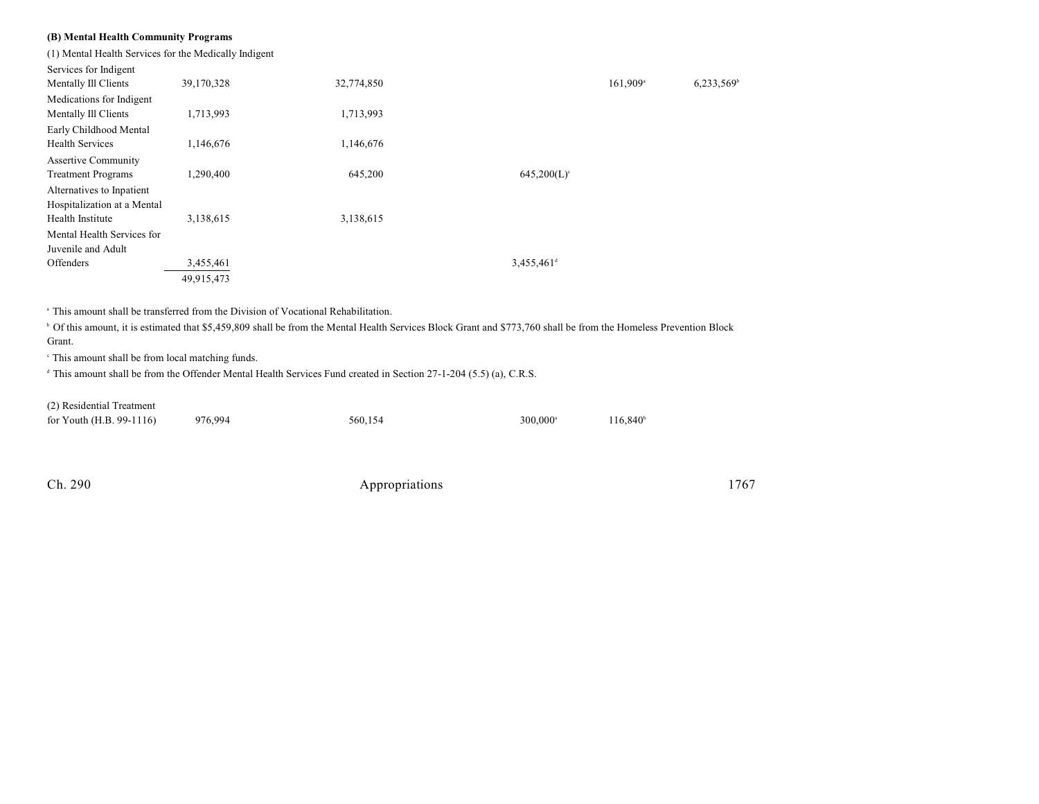### **(B) Mental Health Community Programs**

(1) Mental Health Services for the Medically Indigent

| Services for Indigent       |            |            |                           |                        |                          |
|-----------------------------|------------|------------|---------------------------|------------------------|--------------------------|
| Mentally Ill Clients        | 39,170,328 | 32,774,850 |                           | $161,909$ <sup>a</sup> | $6,233,569$ <sup>b</sup> |
| Medications for Indigent    |            |            |                           |                        |                          |
| Mentally Ill Clients        | 1,713,993  | 1,713,993  |                           |                        |                          |
| Early Childhood Mental      |            |            |                           |                        |                          |
| <b>Health Services</b>      | 1,146,676  | 1,146,676  |                           |                        |                          |
| <b>Assertive Community</b>  |            |            |                           |                        |                          |
| <b>Treatment Programs</b>   | 1,290,400  | 645,200    | $645,200(L)$ <sup>c</sup> |                        |                          |
| Alternatives to Inpatient   |            |            |                           |                        |                          |
| Hospitalization at a Mental |            |            |                           |                        |                          |
| Health Institute            | 3,138,615  | 3,138,615  |                           |                        |                          |
| Mental Health Services for  |            |            |                           |                        |                          |
| Juvenile and Adult          |            |            |                           |                        |                          |
| Offenders                   | 3,455,461  |            | $3,455,461$ <sup>d</sup>  |                        |                          |
|                             | 49,915,473 |            |                           |                        |                          |

This amount shall be transferred from the Division of Vocational Rehabilitation. a

<sup>b</sup> Of this amount, it is estimated that \$5,459,809 shall be from the Mental Health Services Block Grant and \$773,760 shall be from the Homeless Prevention Block Grant.

<sup>c</sup> This amount shall be from local matching funds.

<sup>d</sup> This amount shall be from the Offender Mental Health Services Fund created in Section 27-1-204 (5.5) (a), C.R.S.

(2) Residential Treatment

| .                          |         |         |                      |                   |
|----------------------------|---------|---------|----------------------|-------------------|
| for Youth $(H.B. 99-1116)$ | 976,994 | 560.154 | 300,000 <sup>a</sup> | $116,840^{\circ}$ |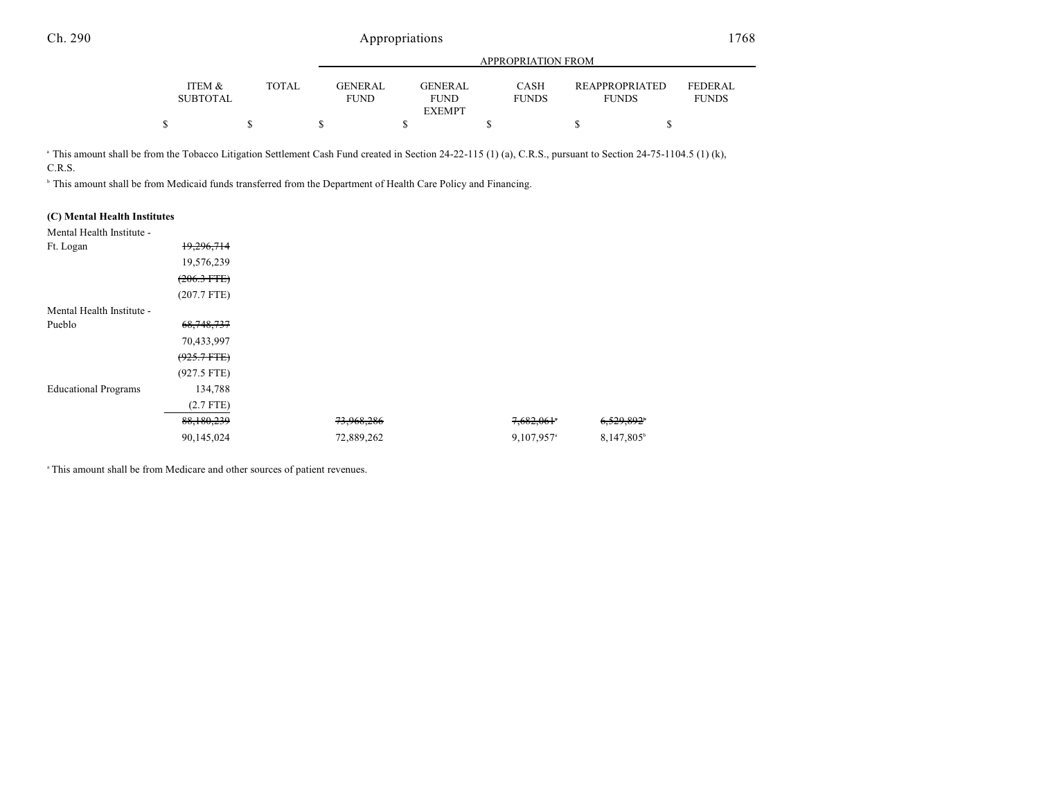|                                      |              |                               | APPROPRIATION FROM     |                             |                                       |                                |  |  |
|--------------------------------------|--------------|-------------------------------|------------------------|-----------------------------|---------------------------------------|--------------------------------|--|--|
| <b>ITEM &amp;</b><br><b>SUBTOTAL</b> | <b>TOTAL</b> | <b>GENERAL</b><br><b>FUND</b> | GENERAL<br><b>FUND</b> | <b>CASH</b><br><b>FUNDS</b> | <b>REAPPROPRIATED</b><br><b>FUNDS</b> | <b>FEDERAL</b><br><b>FUNDS</b> |  |  |
|                                      |              |                               | <b>EXEMPT</b>          |                             |                                       |                                |  |  |
|                                      |              |                               |                        |                             |                                       |                                |  |  |

<sup>a</sup> This amount shall be from the Tobacco Litigation Settlement Cash Fund created in Section 24-22-115 (1) (a), C.R.S., pursuant to Section 24-75-1104.5 (1) (k), C.R.S.

<sup>b</sup> This amount shall be from Medicaid funds transferred from the Department of Health Care Policy and Financing.

| (C) Mental Health Institutes |                  |            |                        |
|------------------------------|------------------|------------|------------------------|
| Mental Health Institute -    |                  |            |                        |
| Ft. Logan                    | 19,296,714       |            |                        |
|                              | 19,576,239       |            |                        |
|                              | $(206.3$ FTE $)$ |            |                        |
|                              | $(207.7$ FTE)    |            |                        |
| Mental Health Institute -    |                  |            |                        |
| Pueblo                       | 68, 748, 737     |            |                        |
|                              | 70,433,997       |            |                        |
|                              | $(925.7 + FFE)$  |            |                        |
|                              | $(927.5$ FTE)    |            |                        |
| <b>Educational Programs</b>  | 134,788          |            |                        |
|                              | $(2.7$ FTE)      |            |                        |
|                              | 88,180,239       | 73,968,286 | 7,682,061*             |
|                              | 90,145,024       | 72,889,262 | 9,107,957 <sup>a</sup> |

<sup>a</sup> This amount shall be from Medicare and other sources of patient revenues.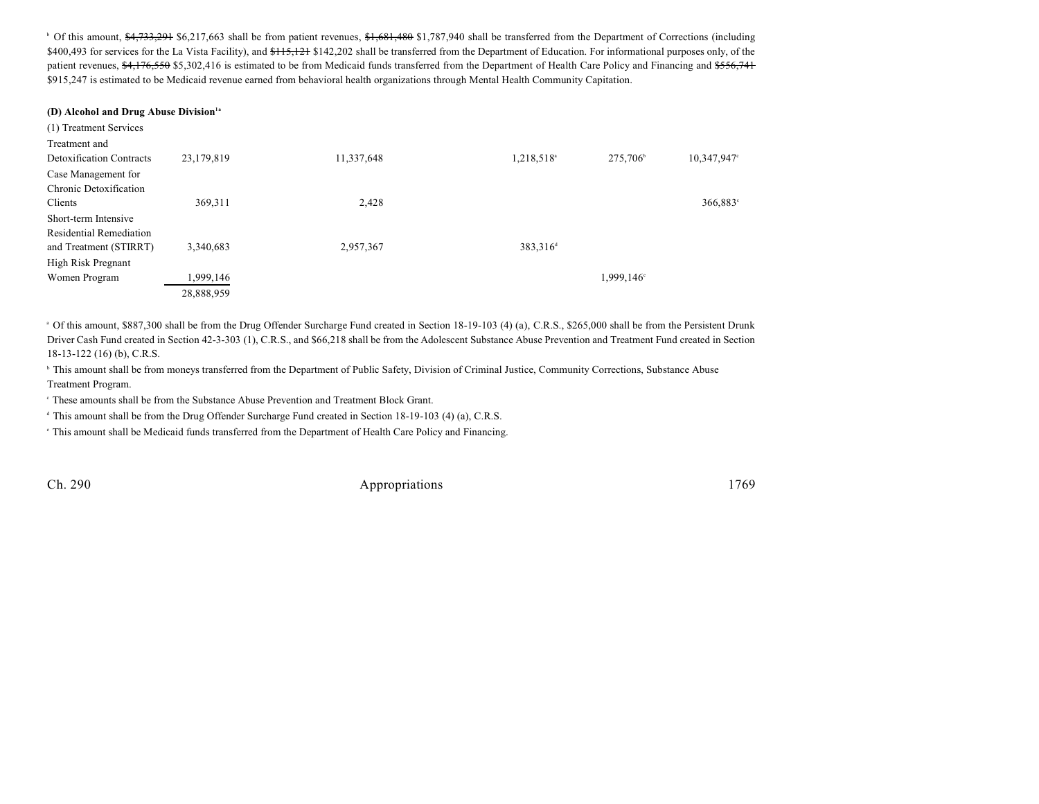<sup>b</sup> Of this amount, \$4,733,291 \$6,217,663 shall be from patient revenues, \$1,681,480 \$1,787,940 shall be transferred from the Department of Corrections (including \$400,493 for services for the La Vista Facility), and  $\frac{115}{121}$  \$142,202 shall be transferred from the Department of Education. For informational purposes only, of the patient revenues, \$4,176,550 \$5,302,416 is estimated to be from Medicaid funds transferred from the Department of Health Care Policy and Financing and \$556,741 \$915,247 is estimated to be Medicaid revenue earned from behavioral health organizations through Mental Health Community Capitation.

#### **(D) Alcohol and Drug Abuse Division1a**

| (1) Treatment Services          |            |            |                        |                   |                |
|---------------------------------|------------|------------|------------------------|-------------------|----------------|
| Treatment and                   |            |            |                        |                   |                |
| <b>Detoxification Contracts</b> | 23,179,819 | 11,337,648 | 1,218,518 <sup>a</sup> | $275,706^{\circ}$ | $10,347,947$ ° |
| Case Management for             |            |            |                        |                   |                |
| Chronic Detoxification          |            |            |                        |                   |                |
| Clients                         | 369,311    | 2,428      |                        |                   | 366,883°       |
| Short-term Intensive            |            |            |                        |                   |                |
| <b>Residential Remediation</b>  |            |            |                        |                   |                |
| and Treatment (STIRRT)          | 3,340,683  | 2,957,367  | 383,316 <sup>d</sup>   |                   |                |
| High Risk Pregnant              |            |            |                        |                   |                |
| Women Program                   | ,999,146   |            |                        | 1,999,146°        |                |
|                                 | 28,888,959 |            |                        |                   |                |

<sup>a</sup> Of this amount, \$887,300 shall be from the Drug Offender Surcharge Fund created in Section 18-19-103 (4) (a), C.R.S., \$265,000 shall be from the Persistent Drunk Driver Cash Fund created in Section 42-3-303 (1), C.R.S., and \$66,218 shall be from the Adolescent Substance Abuse Prevention and Treatment Fund created in Section 18-13-122 (16) (b), C.R.S.

<sup>b</sup> This amount shall be from moneys transferred from the Department of Public Safety, Division of Criminal Justice, Community Corrections, Substance Abuse Treatment Program.

These amounts shall be from the Substance Abuse Prevention and Treatment Block Grant. <sup>c</sup>

<sup>d</sup> This amount shall be from the Drug Offender Surcharge Fund created in Section 18-19-103 (4) (a), C.R.S.

This amount shall be Medicaid funds transferred from the Department of Health Care Policy and Financing. <sup>e</sup>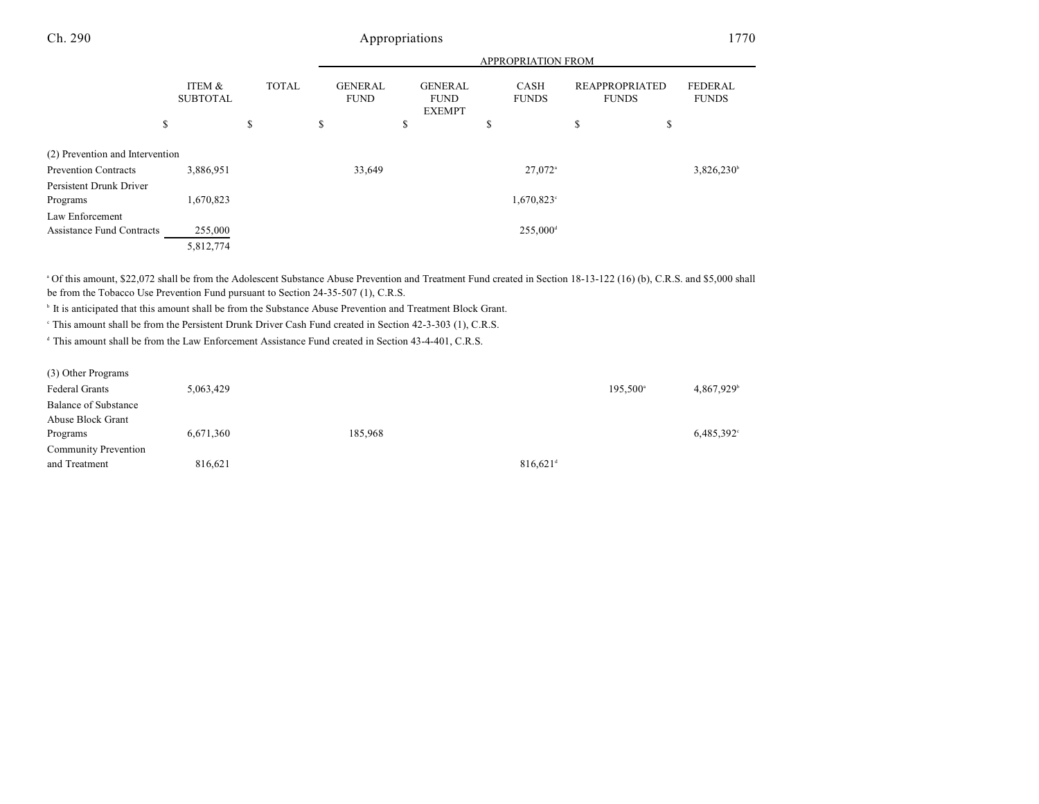|                                 |                           |              | APPROPRIATION FROM            |                                                |                        |                                |                                |  |  |
|---------------------------------|---------------------------|--------------|-------------------------------|------------------------------------------------|------------------------|--------------------------------|--------------------------------|--|--|
|                                 | ITEM &<br><b>SUBTOTAL</b> | <b>TOTAL</b> | <b>GENERAL</b><br><b>FUND</b> | <b>GENERAL</b><br><b>FUND</b><br><b>EXEMPT</b> | CASH<br><b>FUNDS</b>   | REAPPROPRIATED<br><b>FUNDS</b> | <b>FEDERAL</b><br><b>FUNDS</b> |  |  |
|                                 | \$                        | \$           | \$                            | \$                                             | \$                     | \$<br>\$                       |                                |  |  |
| (2) Prevention and Intervention |                           |              |                               |                                                |                        |                                |                                |  |  |
| <b>Prevention Contracts</b>     | 3,886,951                 |              | 33,649                        |                                                | $27.072$ <sup>a</sup>  |                                | 3,826,230 <sup>b</sup>         |  |  |
| Persistent Drunk Driver         |                           |              |                               |                                                |                        |                                |                                |  |  |
| Programs                        | 1,670,823                 |              |                               |                                                | $1,670,823^{\circ}$    |                                |                                |  |  |
| Law Enforcement                 |                           |              |                               |                                                |                        |                                |                                |  |  |
| Assistance Fund Contracts       | 255,000                   |              |                               |                                                | $255,000$ <sup>d</sup> |                                |                                |  |  |
|                                 | 5,812,774                 |              |                               |                                                |                        |                                |                                |  |  |

Of this amount, \$22,072 shall be from the Adolescent Substance Abuse Prevention and Treatment Fund created in Section 18-13-122 (16) (b), C.R.S. and \$5,000 shall <sup>a</sup> be from the Tobacco Use Prevention Fund pursuant to Section 24-35-507 (1), C.R.S.

<sup>b</sup> It is anticipated that this amount shall be from the Substance Abuse Prevention and Treatment Block Grant.

This amount shall be from the Persistent Drunk Driver Cash Fund created in Section 42-3-303 (1), C.R.S. <sup>c</sup>

<sup>d</sup> This amount shall be from the Law Enforcement Assistance Fund created in Section 43-4-401, C.R.S.

| (3) Other Programs          |           |         |                        |                      |                        |
|-----------------------------|-----------|---------|------------------------|----------------------|------------------------|
| Federal Grants              | 5,063,429 |         |                        | 195,500 <sup>a</sup> | 4,867,929 <sup>b</sup> |
| <b>Balance of Substance</b> |           |         |                        |                      |                        |
| Abuse Block Grant           |           |         |                        |                      |                        |
| Programs                    | 6,671,360 | 185,968 |                        |                      | $6,485,392^{\circ}$    |
| <b>Community Prevention</b> |           |         |                        |                      |                        |
| and Treatment               | 816.621   |         | $816.621$ <sup>d</sup> |                      |                        |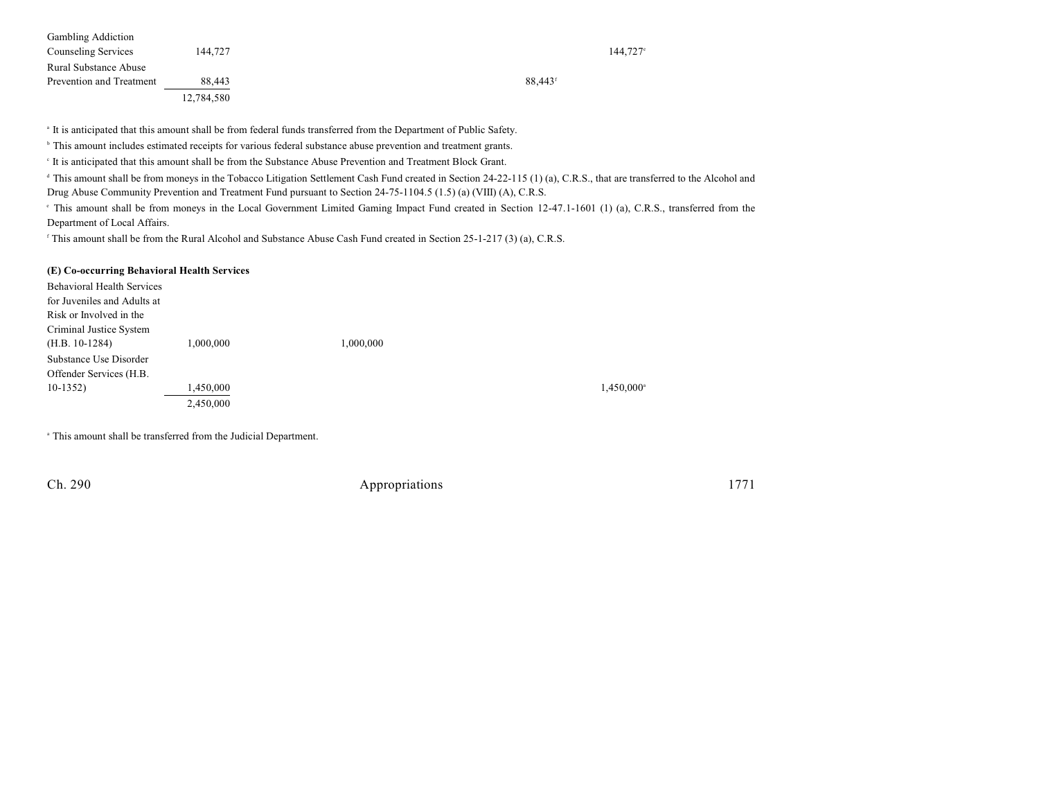| <b>Gambling Addiction</b> |            |                     |
|---------------------------|------------|---------------------|
| Counseling Services       | 144.727    | $144.727^{\circ}$   |
| Rural Substance Abuse     |            |                     |
| Prevention and Treatment  | 88.443     | 88,443 <sup>f</sup> |
|                           | 12,784,580 |                     |

It is anticipated that this amount shall be from federal funds transferred from the Department of Public Safety.

<sup>b</sup> This amount includes estimated receipts for various federal substance abuse prevention and treatment grants.

<sup>c</sup> It is anticipated that this amount shall be from the Substance Abuse Prevention and Treatment Block Grant.

<sup>d</sup> This amount shall be from moneys in the Tobacco Litigation Settlement Cash Fund created in Section 24-22-115 (1) (a), C.R.S., that are transferred to the Alcohol and Drug Abuse Community Prevention and Treatment Fund pursuant to Section 24-75-1104.5 (1.5) (a) (VIII) (A), C.R.S.

fhis amount shall be from moneys in the Local Government Limited Gaming Impact Fund created in Section 12-47.1-1601 (1) (a), C.R.S., transferred from the Department of Local Affairs.

<sup>f</sup> This amount shall be from the Rural Alcohol and Substance Abuse Cash Fund created in Section 25-1-217 (3) (a), C.R.S.

#### **(E) Co-occurring Behavioral Health Services**

| <b>Behavioral Health Services</b> |           |           |                          |
|-----------------------------------|-----------|-----------|--------------------------|
| for Juveniles and Adults at       |           |           |                          |
| Risk or Involved in the           |           |           |                          |
| Criminal Justice System           |           |           |                          |
| $(H.B. 10-1284)$                  | 1,000,000 | 1,000,000 |                          |
| Substance Use Disorder            |           |           |                          |
| Offender Services (H.B.           |           |           |                          |
| $10-1352$                         | 1,450,000 |           | $1,450,000$ <sup>*</sup> |
|                                   | 2,450,000 |           |                          |

<sup>a</sup> This amount shall be transferred from the Judicial Department.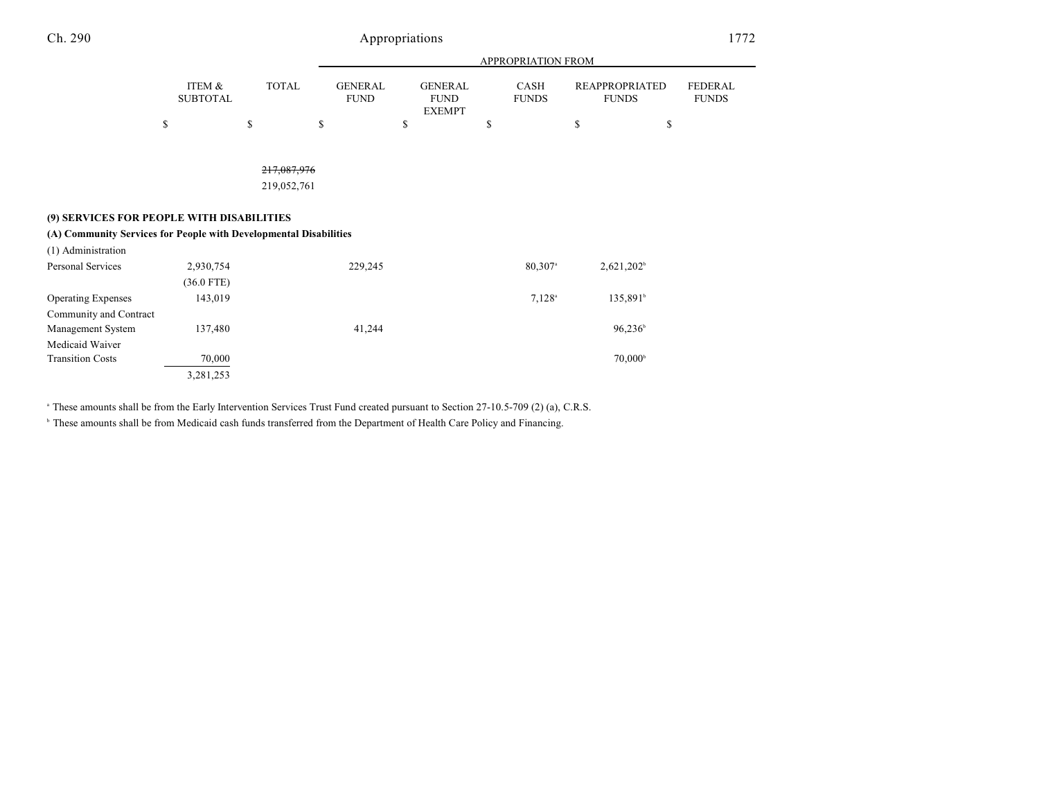|                                                                   |                           |              |                               |                                                | APPROPRIATION FROM    |                                       |                                |
|-------------------------------------------------------------------|---------------------------|--------------|-------------------------------|------------------------------------------------|-----------------------|---------------------------------------|--------------------------------|
|                                                                   | ITEM &<br><b>SUBTOTAL</b> | <b>TOTAL</b> | <b>GENERAL</b><br><b>FUND</b> | <b>GENERAL</b><br><b>FUND</b><br><b>EXEMPT</b> | CASH<br><b>FUNDS</b>  | <b>REAPPROPRIATED</b><br><b>FUNDS</b> | <b>FEDERAL</b><br><b>FUNDS</b> |
|                                                                   | \$                        | \$           | \$                            | \$                                             | \$                    | \$                                    | \$                             |
|                                                                   |                           |              |                               |                                                |                       |                                       |                                |
|                                                                   |                           | 217,087,976  |                               |                                                |                       |                                       |                                |
|                                                                   |                           | 219,052,761  |                               |                                                |                       |                                       |                                |
|                                                                   |                           |              |                               |                                                |                       |                                       |                                |
| (9) SERVICES FOR PEOPLE WITH DISABILITIES                         |                           |              |                               |                                                |                       |                                       |                                |
| (A) Community Services for People with Developmental Disabilities |                           |              |                               |                                                |                       |                                       |                                |
| (1) Administration                                                |                           |              |                               |                                                |                       |                                       |                                |
| Personal Services                                                 | 2,930,754                 |              | 229,245                       |                                                | $80,307$ <sup>a</sup> | $2,621,202^b$                         |                                |
|                                                                   | $(36.0$ FTE)              |              |                               |                                                |                       |                                       |                                |
| <b>Operating Expenses</b>                                         | 143,019                   |              |                               |                                                | $7,128^{\circ}$       | 135,891 <sup>b</sup>                  |                                |
| Community and Contract                                            |                           |              |                               |                                                |                       |                                       |                                |
| Management System                                                 | 137,480                   |              | 41,244                        |                                                |                       | $96,236^{\circ}$                      |                                |
| Medicaid Waiver                                                   |                           |              |                               |                                                |                       |                                       |                                |
| <b>Transition Costs</b>                                           | 70,000                    |              |                               |                                                |                       | $70,000^{\rm b}$                      |                                |
|                                                                   | 3,281,253                 |              |                               |                                                |                       |                                       |                                |

<sup>a</sup> These amounts shall be from the Early Intervention Services Trust Fund created pursuant to Section 27-10.5-709 (2) (a), C.R.S.

<sup>b</sup> These amounts shall be from Medicaid cash funds transferred from the Department of Health Care Policy and Financing.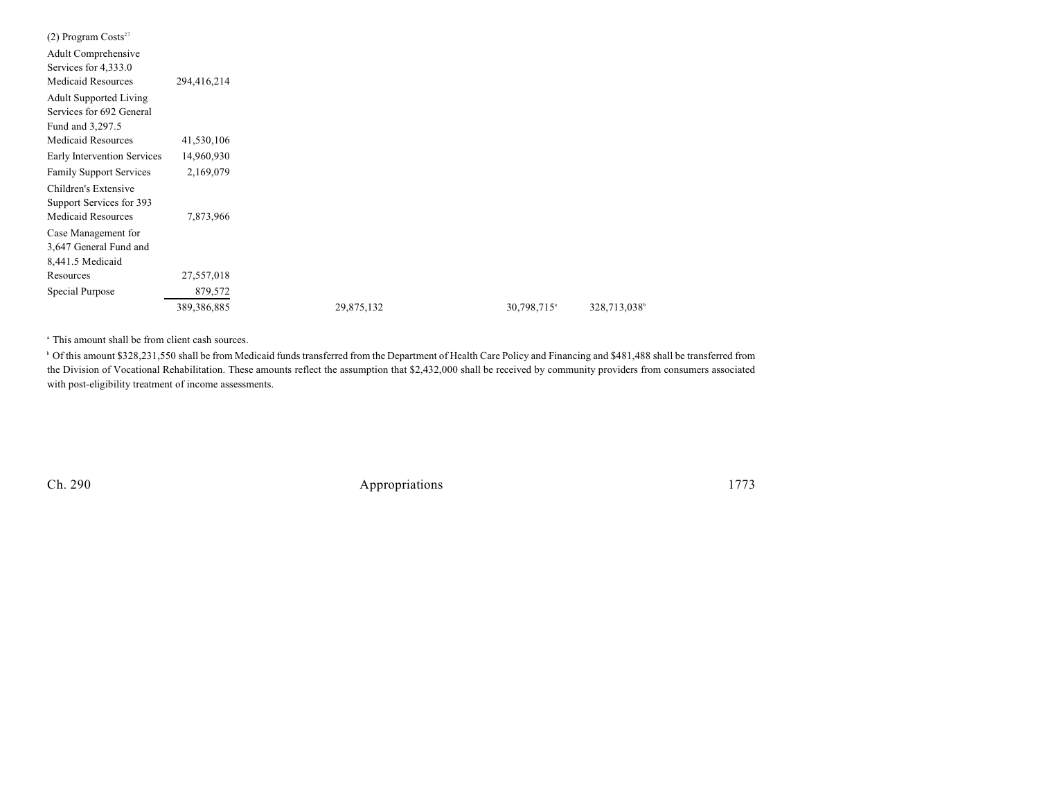| $(2)$ Program Costs <sup>27</sup> |               |            |                         |                          |
|-----------------------------------|---------------|------------|-------------------------|--------------------------|
| Adult Comprehensive               |               |            |                         |                          |
| Services for 4,333.0              |               |            |                         |                          |
| <b>Medicaid Resources</b>         | 294,416,214   |            |                         |                          |
| <b>Adult Supported Living</b>     |               |            |                         |                          |
| Services for 692 General          |               |            |                         |                          |
| Fund and 3,297.5                  |               |            |                         |                          |
| <b>Medicaid Resources</b>         | 41,530,106    |            |                         |                          |
| Early Intervention Services       | 14,960,930    |            |                         |                          |
| <b>Family Support Services</b>    | 2,169,079     |            |                         |                          |
| Children's Extensive              |               |            |                         |                          |
| Support Services for 393          |               |            |                         |                          |
| <b>Medicaid Resources</b>         | 7,873,966     |            |                         |                          |
| Case Management for               |               |            |                         |                          |
| 3,647 General Fund and            |               |            |                         |                          |
| 8,441.5 Medicaid                  |               |            |                         |                          |
| Resources                         | 27,557,018    |            |                         |                          |
| Special Purpose                   | 879,572       |            |                         |                          |
|                                   | 389, 386, 885 | 29,875,132 | 30,798,715 <sup>a</sup> | 328,713,038 <sup>b</sup> |

<sup>a</sup> This amount shall be from client cash sources.

<sup>b</sup> Of this amount \$328,231,550 shall be from Medicaid funds transferred from the Department of Health Care Policy and Financing and \$481,488 shall be transferred from the Division of Vocational Rehabilitation. These amounts reflect the assumption that \$2,432,000 shall be received by community providers from consumers associated with post-eligibility treatment of income assessments.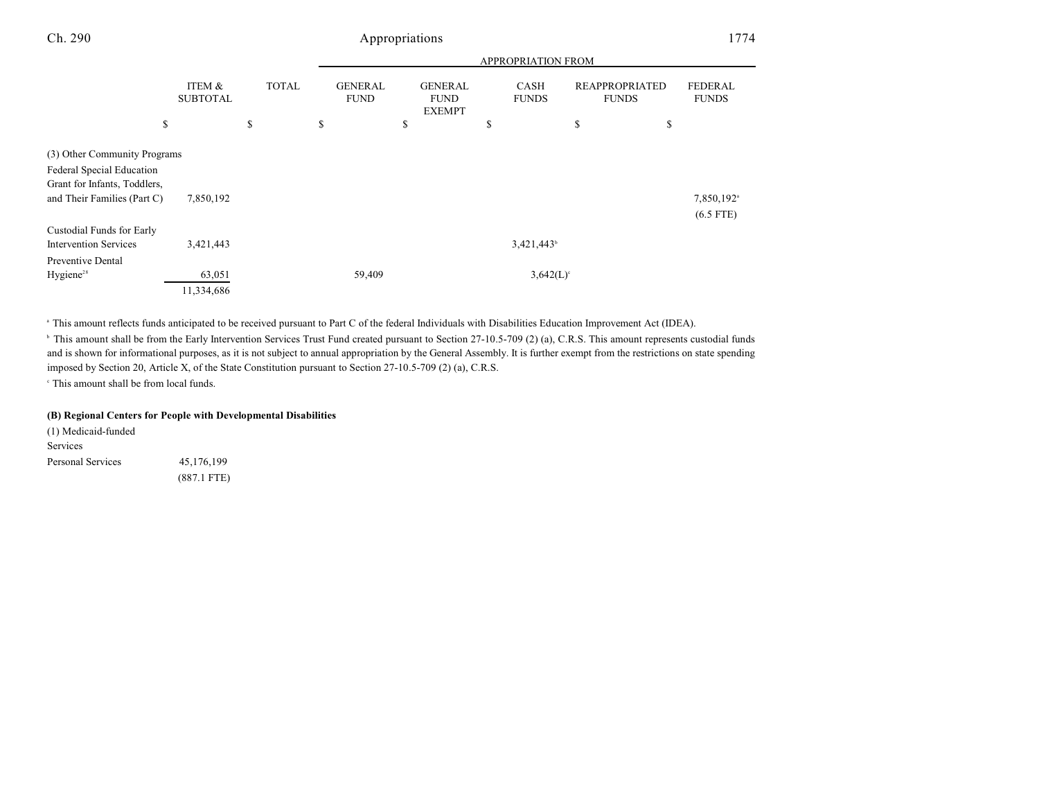|                                                                                                                          |                           |              |                               |                                                | <b>APPROPRIATION FROM</b>   |                                       |                                       |
|--------------------------------------------------------------------------------------------------------------------------|---------------------------|--------------|-------------------------------|------------------------------------------------|-----------------------------|---------------------------------------|---------------------------------------|
|                                                                                                                          | ITEM &<br><b>SUBTOTAL</b> | <b>TOTAL</b> | <b>GENERAL</b><br><b>FUND</b> | <b>GENERAL</b><br><b>FUND</b><br><b>EXEMPT</b> | <b>CASH</b><br><b>FUNDS</b> | <b>REAPPROPRIATED</b><br><b>FUNDS</b> | <b>FEDERAL</b><br><b>FUNDS</b>        |
| \$                                                                                                                       |                           | \$           | \$                            | \$                                             | \$                          | \$                                    | \$                                    |
| (3) Other Community Programs<br>Federal Special Education<br>Grant for Infants, Toddlers,<br>and Their Families (Part C) | 7,850,192                 |              |                               |                                                |                             |                                       | 7,850,192 <sup>a</sup><br>$(6.5$ FTE) |
| Custodial Funds for Early<br><b>Intervention Services</b><br>Preventive Dental                                           | 3,421,443                 |              |                               |                                                | 3,421,443 <sup>b</sup>      |                                       |                                       |
| Hygiene <sup>28</sup>                                                                                                    | 63,051<br>11,334,686      |              | 59,409                        |                                                | $3,642(L)$ <sup>c</sup>     |                                       |                                       |

<sup>a</sup> This amount reflects funds anticipated to be received pursuant to Part C of the federal Individuals with Disabilities Education Improvement Act (IDEA).

<sup>b</sup> This amount shall be from the Early Intervention Services Trust Fund created pursuant to Section 27-10.5-709 (2) (a), C.R.S. This amount represents custodial funds and is shown for informational purposes, as it is not subject to annual appropriation by the General Assembly. It is further exempt from the restrictions on state spending imposed by Section 20, Article X, of the State Constitution pursuant to Section 27-10.5-709 (2) (a), C.R.S.

 $\cdot$  This amount shall be from local funds.

### **(B) Regional Centers for People with Developmental Disabilities**

(1) Medicaid-funded Services Personal Services 45,176,199 (887.1 FTE)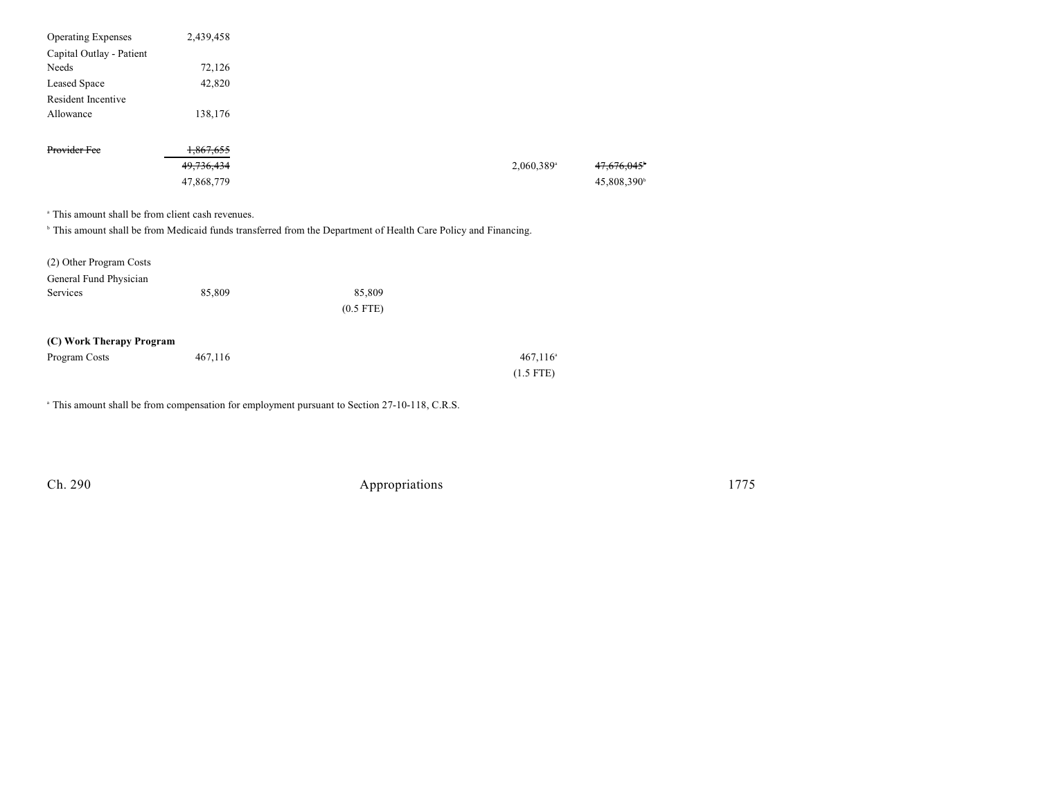| <b>Operating Expenses</b>                                    | 2,439,458            |                                                                                                                            |                        |                         |
|--------------------------------------------------------------|----------------------|----------------------------------------------------------------------------------------------------------------------------|------------------------|-------------------------|
| Capital Outlay - Patient                                     |                      |                                                                                                                            |                        |                         |
| Needs                                                        | 72,126               |                                                                                                                            |                        |                         |
| Leased Space                                                 | 42,820               |                                                                                                                            |                        |                         |
| Resident Incentive                                           |                      |                                                                                                                            |                        |                         |
| Allowance                                                    | 138,176              |                                                                                                                            |                        |                         |
| Provider Fee                                                 | <del>1,867,655</del> |                                                                                                                            |                        |                         |
|                                                              | 49, 736, 434         |                                                                                                                            | 2,060,389 <sup>a</sup> | <del>47.070.045</del> ° |
|                                                              | 47,868,779           |                                                                                                                            |                        | 45,808,390 <sup>b</sup> |
| <sup>a</sup> This amount shall be from client cash revenues. |                      | <sup>b</sup> This amount shall be from Medicaid funds transferred from the Department of Health Care Policy and Financing. |                        |                         |
| (2) Other Program Costs                                      |                      |                                                                                                                            |                        |                         |
| General Fund Physician                                       |                      |                                                                                                                            |                        |                         |
| Services                                                     | 85,809               | 85,809                                                                                                                     |                        |                         |
|                                                              |                      | $(0.5$ FTE)                                                                                                                |                        |                         |
| (C) Work Therapy Program                                     |                      |                                                                                                                            |                        |                         |
| Program Costs                                                | 467,116              |                                                                                                                            | $467,116$ <sup>a</sup> |                         |
|                                                              |                      |                                                                                                                            | $(1.5$ FTE)            |                         |
|                                                              |                      | <sup>a</sup> This amount shall be from compensation for employment pursuant to Section 27-10-118, C.R.S.                   |                        |                         |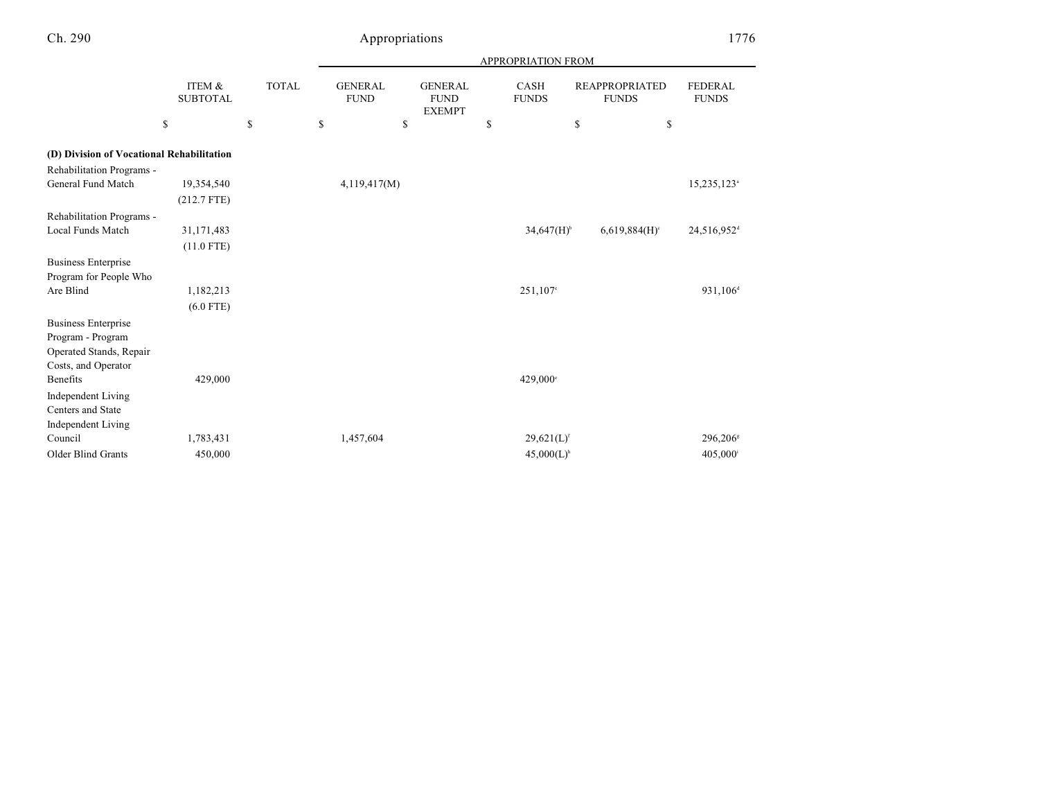|                                           |                           |              | APPROPRIATION FROM |                               |                                                |    |                             |    |                                       |                                |
|-------------------------------------------|---------------------------|--------------|--------------------|-------------------------------|------------------------------------------------|----|-----------------------------|----|---------------------------------------|--------------------------------|
|                                           | ITEM &<br><b>SUBTOTAL</b> | <b>TOTAL</b> |                    | <b>GENERAL</b><br><b>FUND</b> | <b>GENERAL</b><br><b>FUND</b><br><b>EXEMPT</b> |    | <b>CASH</b><br><b>FUNDS</b> |    | <b>REAPPROPRIATED</b><br><b>FUNDS</b> | <b>FEDERAL</b><br><b>FUNDS</b> |
|                                           | ${\mathbb S}$             | \$           | \$                 | \$                            |                                                | \$ |                             | \$ | \$                                    |                                |
| (D) Division of Vocational Rehabilitation |                           |              |                    |                               |                                                |    |                             |    |                                       |                                |
| Rehabilitation Programs -                 |                           |              |                    |                               |                                                |    |                             |    |                                       |                                |
| General Fund Match                        | 19,354,540                |              |                    | 4,119,417(M)                  |                                                |    |                             |    |                                       | 15,235,123 <sup>a</sup>        |
|                                           | $(212.7$ FTE)             |              |                    |                               |                                                |    |                             |    |                                       |                                |
| Rehabilitation Programs -                 |                           |              |                    |                               |                                                |    |                             |    |                                       |                                |
| Local Funds Match                         | 31,171,483                |              |                    |                               |                                                |    | $34,647(H)$ <sup>b</sup>    |    | $6,619,884(H)$ <sup>c</sup>           | 24,516,952 <sup>d</sup>        |
|                                           | $(11.0$ FTE)              |              |                    |                               |                                                |    |                             |    |                                       |                                |
| <b>Business Enterprise</b>                |                           |              |                    |                               |                                                |    |                             |    |                                       |                                |
| Program for People Who                    |                           |              |                    |                               |                                                |    |                             |    |                                       |                                |
| Are Blind                                 | 1,182,213                 |              |                    |                               |                                                |    | 251,107 <sup>e</sup>        |    |                                       | 931,106 <sup>d</sup>           |
|                                           | $(6.0$ FTE)               |              |                    |                               |                                                |    |                             |    |                                       |                                |
| <b>Business Enterprise</b>                |                           |              |                    |                               |                                                |    |                             |    |                                       |                                |
| Program - Program                         |                           |              |                    |                               |                                                |    |                             |    |                                       |                                |
| Operated Stands, Repair                   |                           |              |                    |                               |                                                |    |                             |    |                                       |                                |
| Costs, and Operator                       |                           |              |                    |                               |                                                |    |                             |    |                                       |                                |
| Benefits                                  | 429,000                   |              |                    |                               |                                                |    | 429,000°                    |    |                                       |                                |
| <b>Independent Living</b>                 |                           |              |                    |                               |                                                |    |                             |    |                                       |                                |
| Centers and State                         |                           |              |                    |                               |                                                |    |                             |    |                                       |                                |
| <b>Independent Living</b>                 |                           |              |                    |                               |                                                |    |                             |    |                                       |                                |
| Council                                   | 1,783,431                 |              |                    | 1,457,604                     |                                                |    | $29,621(L)$ <sup>f</sup>    |    |                                       | $296,206$ <sup>s</sup>         |
| <b>Older Blind Grants</b>                 | 450,000                   |              |                    |                               |                                                |    | $45,000(L)$ <sup>h</sup>    |    |                                       | 405,000 <sup>i</sup>           |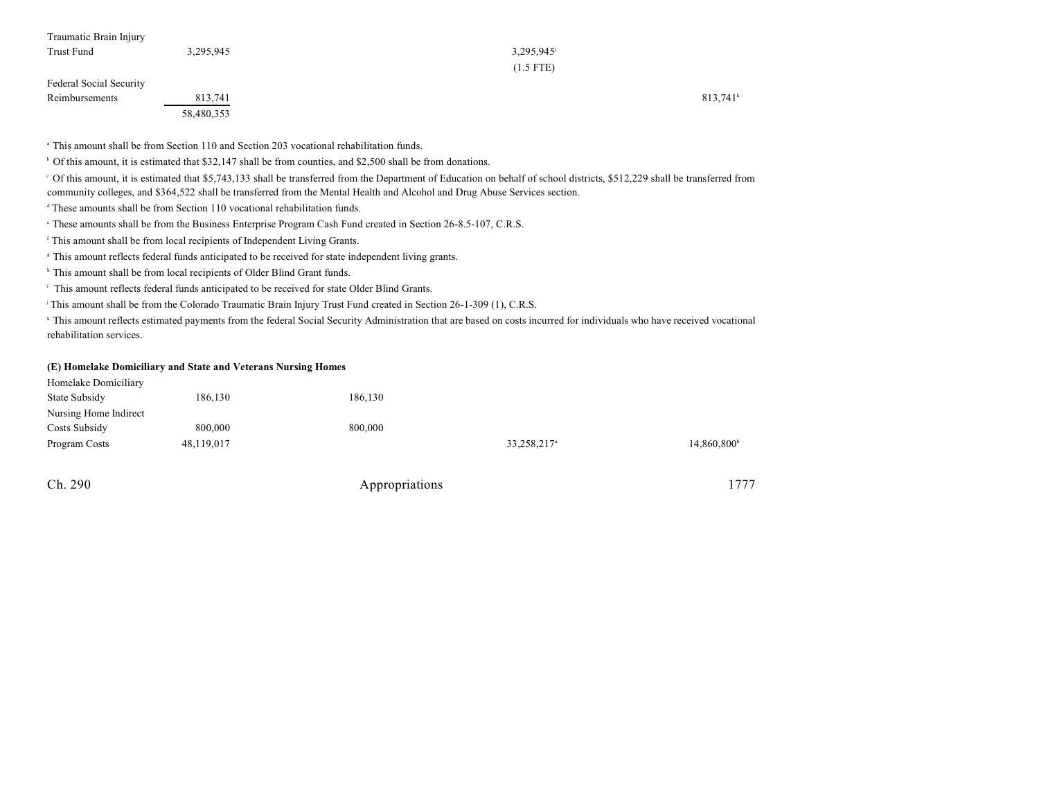| Traumatic Brain Injury         |            |             |         |
|--------------------------------|------------|-------------|---------|
| Trust Fund                     | 3,295,945  | 3,295,945   |         |
|                                |            | $(1.5$ FTE) |         |
| <b>Federal Social Security</b> |            |             |         |
| Reimbursements                 | 813,741    |             | 813,741 |
|                                | 58,480,353 |             |         |

This amount shall be from Section 110 and Section 203 vocational rehabilitation funds. a

 $\degree$  Of this amount, it is estimated that \$32,147 shall be from counties, and \$2,500 shall be from donations.

Of this amount, it is estimated that \$5,743,133 shall be transferred from the Department of Education on behalf of school districts, \$512,229 shall be transferred from <sup>c</sup> community colleges, and \$364,522 shall be transferred from the Mental Health and Alcohol and Drug Abuse Services section.

 $813,741^k$ 

<sup>d</sup> These amounts shall be from Section 110 vocational rehabilitation funds.

<sup>e</sup> These amounts shall be from the Business Enterprise Program Cash Fund created in Section 26-8.5-107, C.R.S.

<sup>f</sup> This amount shall be from local recipients of Independent Living Grants.

<sup>8</sup> This amount reflects federal funds anticipated to be received for state independent living grants.

<sup>h</sup> This amount shall be from local recipients of Older Blind Grant funds.

<sup>i</sup> This amount reflects federal funds anticipated to be received for state Older Blind Grants.

<sup>j</sup> This amount shall be from the Colorado Traumatic Brain Injury Trust Fund created in Section 26-1-309 (1), C.R.S.

<sup>k</sup> This amount reflects estimated payments from the federal Social Security Administration that are based on costs incurred for individuals who have received vocational rehabilitation services.

### **(E) Homelake Domiciliary and State and Veterans Nursing Homes**

| Homelake Domiciliary<br>State Subsidy | 186,130    | 186,130 |                         |                         |
|---------------------------------------|------------|---------|-------------------------|-------------------------|
| Nursing Home Indirect                 |            |         |                         |                         |
| Costs Subsidy                         | 800,000    | 800,000 |                         |                         |
| Program Costs                         | 48,119,017 |         | 33,258,217 <sup>a</sup> | 14,860,800 <sup>b</sup> |
|                                       |            |         |                         |                         |

| Ch. 290 | Appropriations | 1777 |
|---------|----------------|------|
|         |                |      |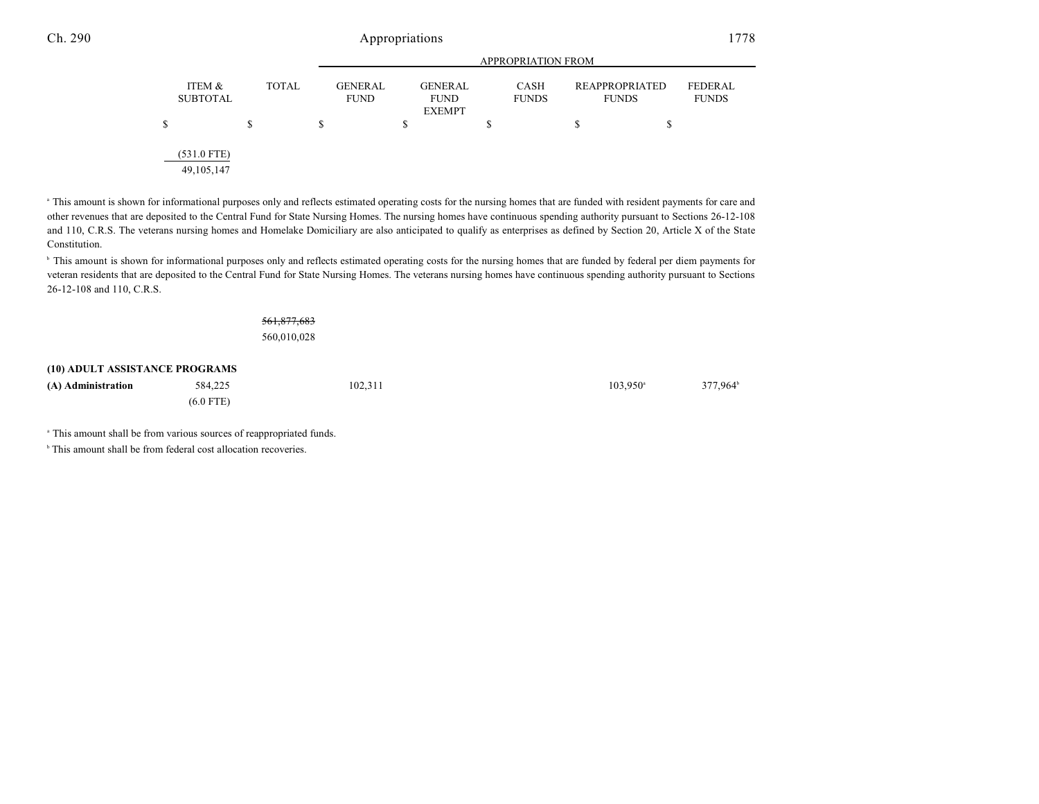|                               |              |                               | <b>APPROPRIATION FROM</b>                      |                             |                                       |                                |  |  |
|-------------------------------|--------------|-------------------------------|------------------------------------------------|-----------------------------|---------------------------------------|--------------------------------|--|--|
| ITEM &<br><b>SUBTOTAL</b>     | <b>TOTAL</b> | <b>GENERAL</b><br><b>FUND</b> | <b>GENERAL</b><br><b>FUND</b><br><b>EXEMPT</b> | <b>CASH</b><br><b>FUNDS</b> | <b>REAPPROPRIATED</b><br><b>FUNDS</b> | <b>FEDERAL</b><br><b>FUNDS</b> |  |  |
| S                             | \$           | S                             | \$                                             | S                           | S                                     | \$                             |  |  |
| $(531.0$ FTE)<br>49, 105, 147 |              |                               |                                                |                             |                                       |                                |  |  |

<sup>a</sup> This amount is shown for informational purposes only and reflects estimated operating costs for the nursing homes that are funded with resident payments for care and other revenues that are deposited to the Central Fund for State Nursing Homes. The nursing homes have continuous spending authority pursuant to Sections 26-12-108 and 110, C.R.S. The veterans nursing homes and Homelake Domiciliary are also anticipated to qualify as enterprises as defined by Section 20, Article X of the State Constitution.

<sup>b</sup> This amount is shown for informational purposes only and reflects estimated operating costs for the nursing homes that are funded by federal per diem payments for veteran residents that are deposited to the Central Fund for State Nursing Homes. The veterans nursing homes have continuous spending authority pursuant to Sections 26-12-108 and 110, C.R.S.

# 561,877,683

560,010,028

### **(10) ADULT ASSISTANCE PROGRAMS**

| (A) Administration | 584,225     | 102,311 | 377,964 <sup>b</sup><br>$103.950^{\circ}$ |
|--------------------|-------------|---------|-------------------------------------------|
|                    | $(6.0$ FTE) |         |                                           |

<sup>a</sup> This amount shall be from various sources of reappropriated funds.

 $\,^{\circ}$  This amount shall be from federal cost allocation recoveries.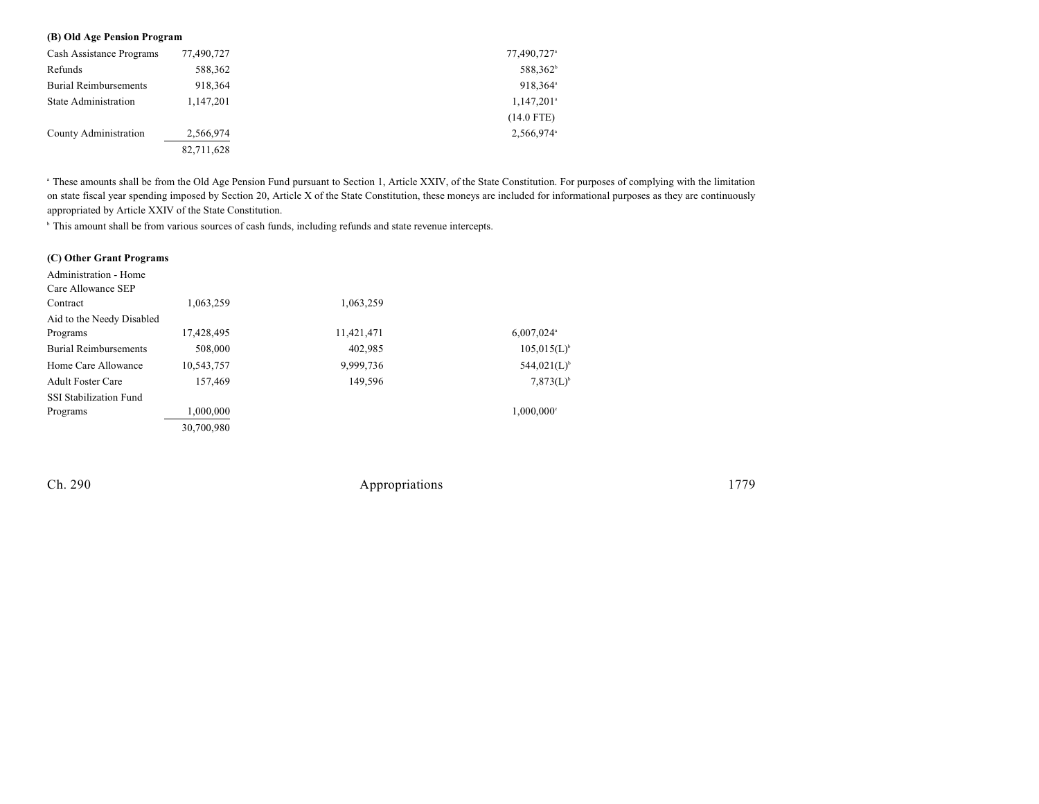### **(B) Old Age Pension Program**

| Cash Assistance Programs     | 77,490,727 | 77,490,727 <sup>a</sup>  |
|------------------------------|------------|--------------------------|
| Refunds                      | 588,362    | 588,362 <sup>b</sup>     |
| <b>Burial Reimbursements</b> | 918,364    | 918,364 <sup>a</sup>     |
| <b>State Administration</b>  | 1,147,201  | $1,147,201$ <sup>a</sup> |
|                              |            | $(14.0$ FTE)             |
| County Administration        | 2,566,974  | 2,566,974 <sup>a</sup>   |
|                              | 82,711,628 |                          |

<sup>a</sup> These amounts shall be from the Old Age Pension Fund pursuant to Section 1, Article XXIV, of the State Constitution. For purposes of complying with the limitation on state fiscal year spending imposed by Section 20, Article X of the State Constitution, these moneys are included for informational purposes as they are continuously appropriated by Article XXIV of the State Constitution.

<sup>b</sup> This amount shall be from various sources of cash funds, including refunds and state revenue intercepts.

| (C) Other Grant Programs      |            |            |                          |
|-------------------------------|------------|------------|--------------------------|
| Administration - Home         |            |            |                          |
| Care Allowance SEP            |            |            |                          |
| Contract                      | 1.063.259  | 1,063,259  |                          |
| Aid to the Needy Disabled     |            |            |                          |
| Programs                      | 17,428,495 | 11,421,471 | $6,007,024$ <sup>a</sup> |
| <b>Burial Reimbursements</b>  | 508,000    | 402,985    | $105,015(L)^{6}$         |
| Home Care Allowance           | 10,543,757 | 9,999,736  | $544,021(L)^{6}$         |
| <b>Adult Foster Care</b>      | 157,469    | 149.596    | $7,873(L)^{b}$           |
| <b>SSI Stabilization Fund</b> |            |            |                          |
| Programs                      | 1,000,000  |            | $1,000,000$ <sup>c</sup> |
|                               | 30,700,980 |            |                          |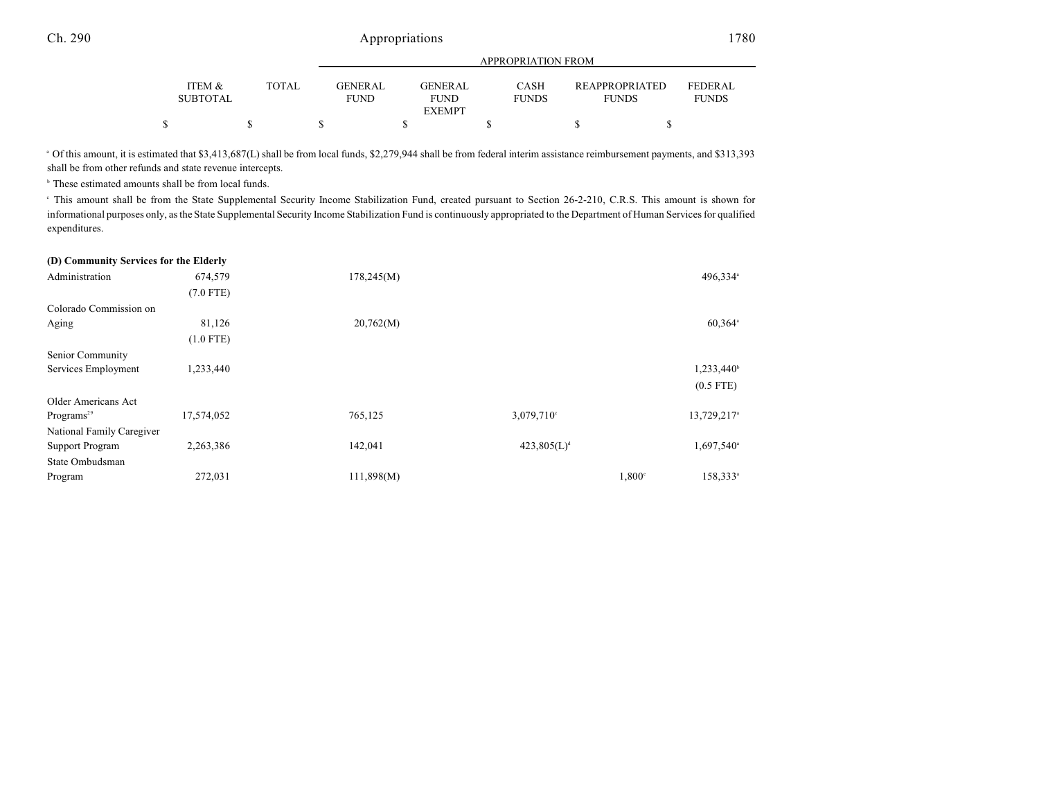|   |                 |       | APPROPRIATION FROM |  |                              |  |              |  |                       |                |
|---|-----------------|-------|--------------------|--|------------------------------|--|--------------|--|-----------------------|----------------|
|   | ITEM &          | TOTAL | <b>GENERAL</b>     |  | <b>GENERAL</b>               |  | <b>CASH</b>  |  | <b>REAPPROPRIATED</b> | <b>FEDERAL</b> |
|   | <b>SUBTOTAL</b> |       | <b>FUND</b>        |  | <b>FUND</b><br><b>EXEMPT</b> |  | <b>FUNDS</b> |  | <b>FUNDS</b>          | <b>FUNDS</b>   |
| ፍ |                 |       |                    |  |                              |  |              |  |                       |                |

Of this amount, it is estimated that \$3,413,687(L) shall be from local funds, \$2,279,944 shall be from federal interim assistance reimbursement payments, and \$313,393 <sup>a</sup> shall be from other refunds and state revenue intercepts.

 $\,^{\circ}$  These estimated amounts shall be from local funds.

This amount shall be from the State Supplemental Security Income Stabilization Fund, created pursuant to Section 26-2-210, C.R.S. This amount is shown for <sup>c</sup> informational purposes only, as the State Supplemental Security Income Stabilization Fund is continuously appropriated to the Department of Human Services for qualified expenditures.

#### **(D) Community Services for the Elderly**

| Administration            | 674,579     | 178,245(M) |                         |               | 496,334 <sup>a</sup>    |
|---------------------------|-------------|------------|-------------------------|---------------|-------------------------|
|                           | $(7.0$ FTE) |            |                         |               |                         |
| Colorado Commission on    |             |            |                         |               |                         |
| Aging                     | 81,126      | 20,762(M)  |                         |               | 60,364 <sup>a</sup>     |
|                           | $(1.0$ FTE) |            |                         |               |                         |
| Senior Community          |             |            |                         |               |                         |
| Services Employment       | 1,233,440   |            |                         |               | 1,233,440 <sup>b</sup>  |
|                           |             |            |                         |               | $(0.5$ FTE)             |
| Older Americans Act       |             |            |                         |               |                         |
| Programs <sup>29</sup>    | 17,574,052  | 765,125    | 3,079,710°              |               | 13,729,217 <sup>a</sup> |
| National Family Caregiver |             |            |                         |               |                         |
| <b>Support Program</b>    | 2,263,386   | 142,041    | 423,805(L) <sup>d</sup> |               | 1,697,540 <sup>a</sup>  |
| State Ombudsman           |             |            |                         |               |                         |
| Program                   | 272,031     | 111,898(M) |                         | $1,800^\circ$ | 158,333 <sup>a</sup>    |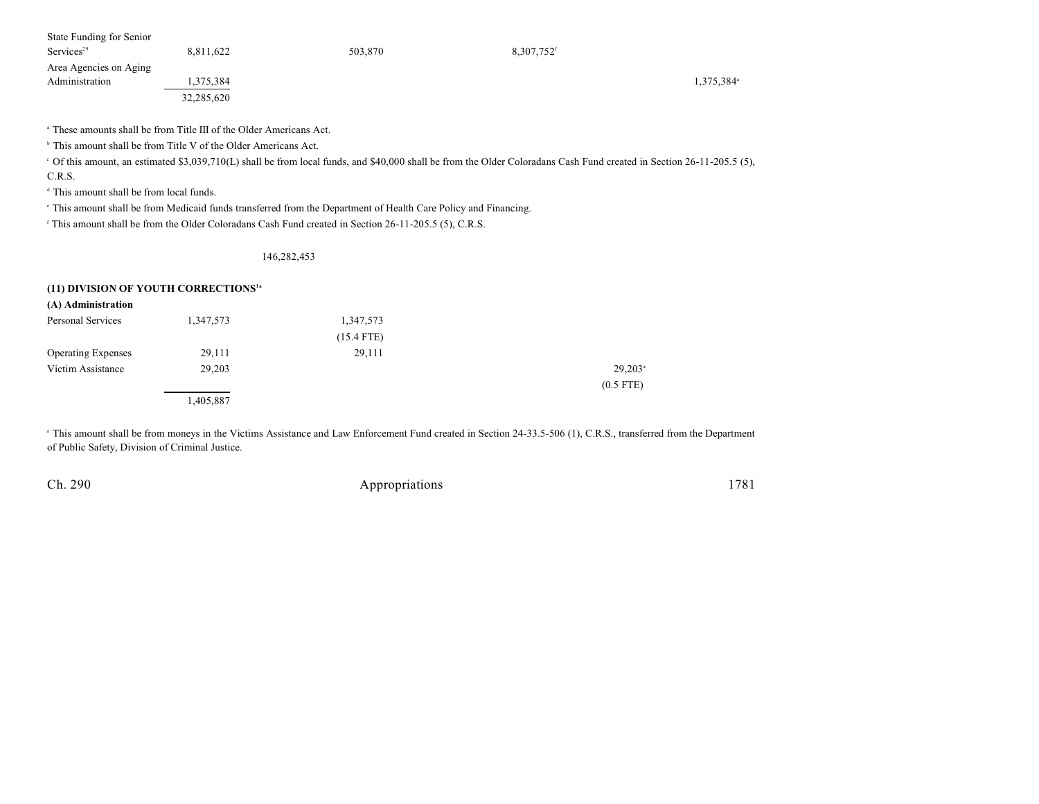| State Funding for Senior  |            |         |                          |                        |
|---------------------------|------------|---------|--------------------------|------------------------|
| $S$ ervices <sup>29</sup> | 8,811,622  | 503,870 | $8,307,752$ <sup>f</sup> |                        |
| Area Agencies on Aging    |            |         |                          |                        |
| Administration            | 1,375,384  |         |                          | 1,375,384 <sup>a</sup> |
|                           | 32,285,620 |         |                          |                        |

<sup>a</sup> These amounts shall be from Title III of the Older Americans Act.

 $\,^{\circ}$  This amount shall be from Title V of the Older Americans Act.

Of this amount, an estimated \$3,039,710(L) shall be from local funds, and \$40,000 shall be from the Older Coloradans Cash Fund created in Section 26-11-205.5 (5), <sup>c</sup> C.R.S.

 $d$  This amount shall be from local funds.

 $\degree$  This amount shall be from Medicaid funds transferred from the Department of Health Care Policy and Financing.

<sup>f</sup> This amount shall be from the Older Coloradans Cash Fund created in Section 26-11-205.5 (5), C.R.S.

#### 146,282,453

#### **(11) DIVISION OF YOUTH CORRECTIONS1a**

| (A) Administration        |           |              |                  |
|---------------------------|-----------|--------------|------------------|
| Personal Services         | 1,347,573 | 1,347,573    |                  |
|                           |           | $(15.4$ FTE) |                  |
| <b>Operating Expenses</b> | 29,111    | 29,111       |                  |
| Victim Assistance         | 29,203    |              | $29,203^{\circ}$ |
|                           |           |              | $(0.5$ FTE)      |
|                           | 1,405,887 |              |                  |

<sup>a</sup> This amount shall be from moneys in the Victims Assistance and Law Enforcement Fund created in Section 24-33.5-506 (1), C.R.S., transferred from the Department of Public Safety, Division of Criminal Justice.

| Ch. 290 | Appropriations | 1781 |
|---------|----------------|------|
|---------|----------------|------|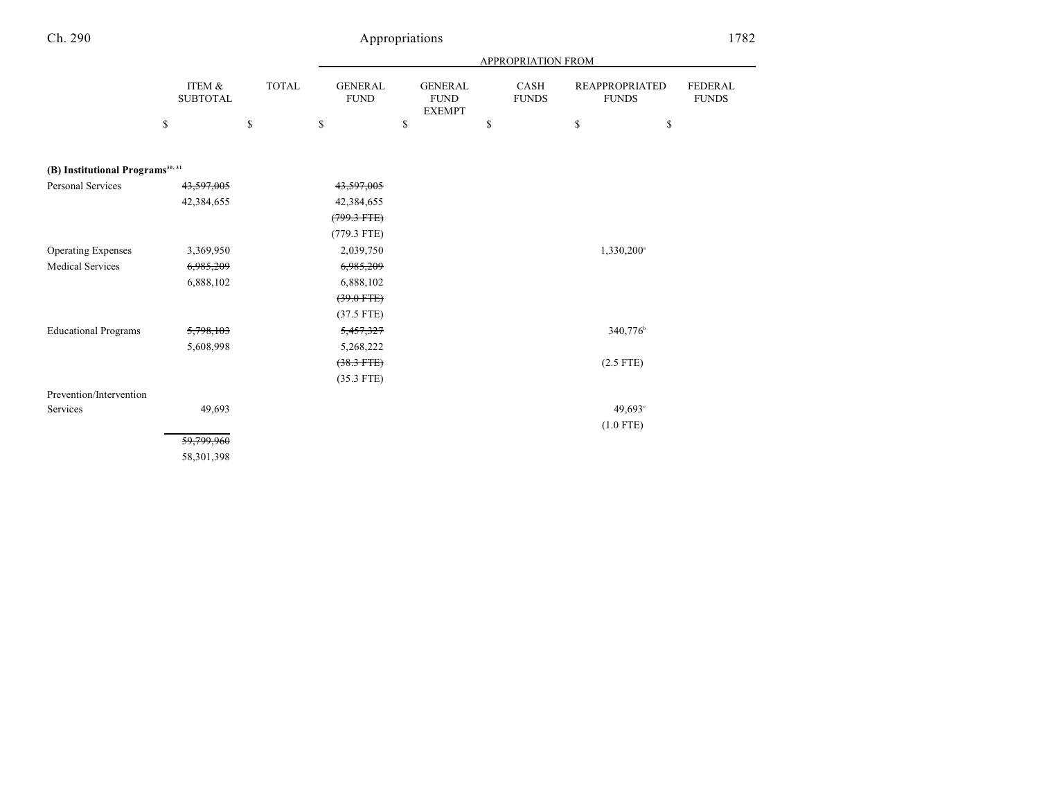# Appropriations 1782

|                                              |                           |       |                                |                                                | APPROPRIATION FROM          |                                       |                                |
|----------------------------------------------|---------------------------|-------|--------------------------------|------------------------------------------------|-----------------------------|---------------------------------------|--------------------------------|
|                                              | ITEM &<br><b>SUBTOTAL</b> | TOTAL | <b>GENERAL</b><br>${\rm FUND}$ | <b>GENERAL</b><br><b>FUND</b><br><b>EXEMPT</b> | <b>CASH</b><br><b>FUNDS</b> | <b>REAPPROPRIATED</b><br><b>FUNDS</b> | <b>FEDERAL</b><br><b>FUNDS</b> |
|                                              | \$                        | \$    | $\mathbb{S}$                   | \$                                             | \$                          | $\mathbb{S}$<br>\$                    |                                |
|                                              |                           |       |                                |                                                |                             |                                       |                                |
| (B) Institutional Programs <sup>30, 31</sup> |                           |       |                                |                                                |                             |                                       |                                |
| <b>Personal Services</b>                     | 43,597,005                |       | 43,597,005                     |                                                |                             |                                       |                                |
|                                              | 42,384,655                |       | 42,384,655                     |                                                |                             |                                       |                                |
|                                              |                           |       | $(799.3 \text{ FFE})$          |                                                |                             |                                       |                                |
|                                              |                           |       | $(779.3$ FTE)                  |                                                |                             |                                       |                                |
| <b>Operating Expenses</b>                    | 3,369,950                 |       | 2,039,750                      |                                                |                             | 1,330,200 <sup>a</sup>                |                                |
| <b>Medical Services</b>                      | 6,985,209                 |       | 6,985,209                      |                                                |                             |                                       |                                |
|                                              | 6,888,102                 |       | 6,888,102                      |                                                |                             |                                       |                                |
|                                              |                           |       | $(39.0$ FTE)                   |                                                |                             |                                       |                                |
|                                              |                           |       | $(37.5$ FTE)                   |                                                |                             |                                       |                                |
| <b>Educational Programs</b>                  | 5,798,103                 |       | 5,457,327                      |                                                |                             | 340,776 <sup>b</sup>                  |                                |
|                                              | 5,608,998                 |       | 5,268,222                      |                                                |                             |                                       |                                |
|                                              |                           |       | $(38.3$ FTE)                   |                                                |                             | $(2.5$ FTE)                           |                                |
|                                              |                           |       | $(35.3$ FTE)                   |                                                |                             |                                       |                                |
| Prevention/Intervention                      |                           |       |                                |                                                |                             |                                       |                                |
| Services                                     | 49,693                    |       |                                |                                                |                             | 49,693°                               |                                |
|                                              |                           |       |                                |                                                |                             | $(1.0$ FTE)                           |                                |
|                                              | 59,799,960                |       |                                |                                                |                             |                                       |                                |
|                                              | 58,301,398                |       |                                |                                                |                             |                                       |                                |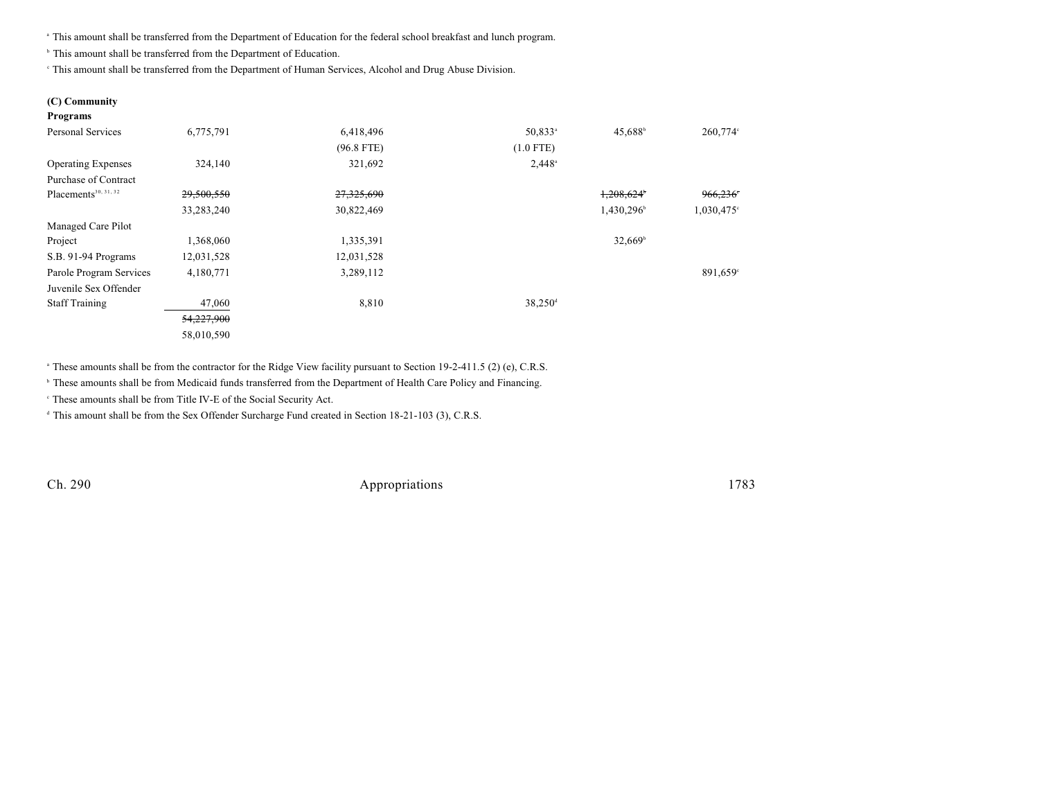This amount shall be transferred from the Department of Education for the federal school breakfast and lunch program. <sup>a</sup>

<sup>b</sup> This amount shall be transferred from the Department of Education.

This amount shall be transferred from the Department of Human Services, Alcohol and Drug Abuse Division.

#### **(C) Community Programs**

| Trograms                         |            |              |                       |                     |               |
|----------------------------------|------------|--------------|-----------------------|---------------------|---------------|
| <b>Personal Services</b>         | 6,775,791  | 6,418,496    | 50,833 <sup>a</sup>   | 45,688 <sup>b</sup> | 260,774°      |
|                                  |            | $(96.8$ FTE) | $(1.0$ FTE)           |                     |               |
| <b>Operating Expenses</b>        | 324,140    | 321,692      | $2,448^{\circ}$       |                     |               |
| Purchase of Contract             |            |              |                       |                     |               |
| Placements <sup>30, 31, 32</sup> | 29,500,550 | 27,325,690   |                       | 1,208,624           | 966,236       |
|                                  | 33,283,240 | 30,822,469   |                       | 1,430,296           | $1,030,475$ ° |
| Managed Care Pilot               |            |              |                       |                     |               |
| Project                          | 1,368,060  | 1,335,391    |                       | $32,669^{\circ}$    |               |
| S.B. 91-94 Programs              | 12,031,528 | 12,031,528   |                       |                     |               |
| Parole Program Services          | 4,180,771  | 3,289,112    |                       |                     | $891,659$ °   |
| Juvenile Sex Offender            |            |              |                       |                     |               |
| <b>Staff Training</b>            | 47,060     | 8,810        | $38,250$ <sup>d</sup> |                     |               |
|                                  | 54,227,900 |              |                       |                     |               |
|                                  | 58,010,590 |              |                       |                     |               |
|                                  |            |              |                       |                     |               |

<sup>a</sup> These amounts shall be from the contractor for the Ridge View facility pursuant to Section 19-2-411.5 (2) (e), C.R.S.

<sup>b</sup> These amounts shall be from Medicaid funds transferred from the Department of Health Care Policy and Financing.

<sup>c</sup> These amounts shall be from Title IV-E of the Social Security Act.

<sup>d</sup> This amount shall be from the Sex Offender Surcharge Fund created in Section 18-21-103 (3), C.R.S.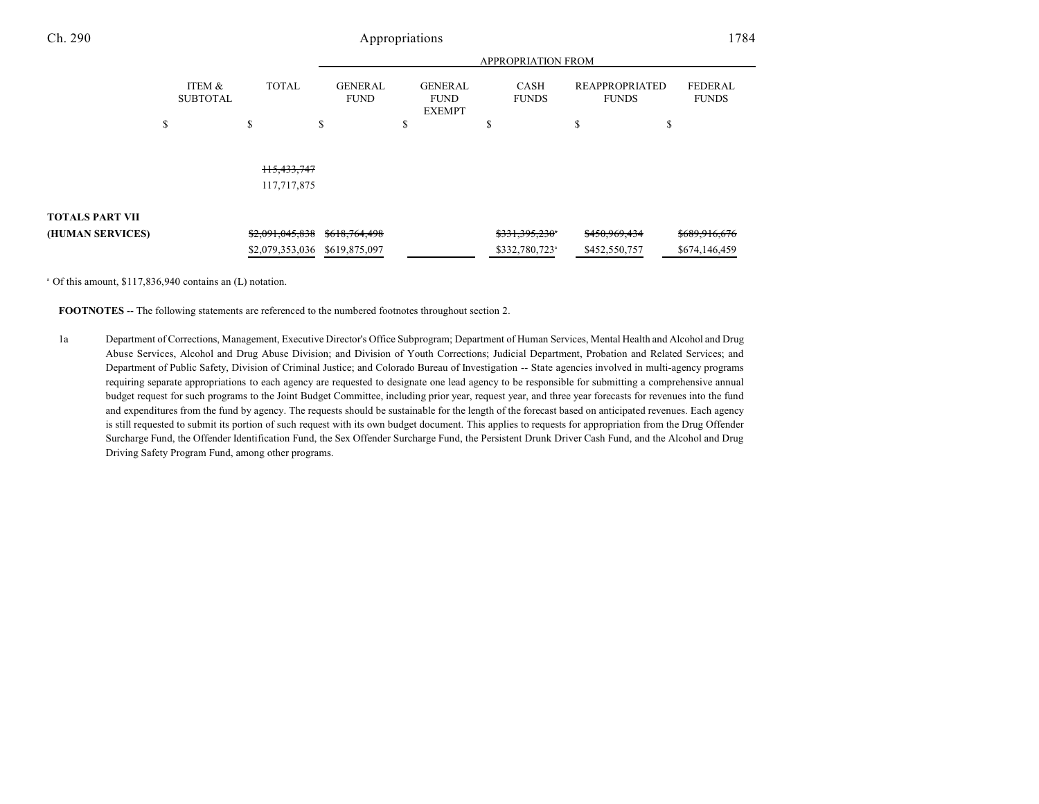|                        |                           |                 | <b>APPROPRIATION FROM</b>     |                                                |                             |                                       |                                |
|------------------------|---------------------------|-----------------|-------------------------------|------------------------------------------------|-----------------------------|---------------------------------------|--------------------------------|
|                        | ITEM &<br><b>SUBTOTAL</b> | <b>TOTAL</b>    | <b>GENERAL</b><br><b>FUND</b> | <b>GENERAL</b><br><b>FUND</b><br><b>EXEMPT</b> | <b>CASH</b><br><b>FUNDS</b> | <b>REAPPROPRIATED</b><br><b>FUNDS</b> | <b>FEDERAL</b><br><b>FUNDS</b> |
|                        | \$                        | \$              | S                             | \$                                             | \$                          | \$                                    | ъ                              |
|                        |                           |                 |                               |                                                |                             |                                       |                                |
|                        |                           |                 |                               |                                                |                             |                                       |                                |
|                        |                           | 115,433,747     |                               |                                                |                             |                                       |                                |
|                        |                           | 117,717,875     |                               |                                                |                             |                                       |                                |
|                        |                           |                 |                               |                                                |                             |                                       |                                |
| <b>TOTALS PART VII</b> |                           |                 |                               |                                                |                             |                                       |                                |
| (HUMAN SERVICES)       |                           | \$2,091,045,838 | \$618,764,498                 |                                                | \$331,395,230*              | \$450,969,434                         | \$689,916,676                  |
|                        |                           | \$2,079,353,036 | \$619,875,097                 |                                                | \$332,780,723 <sup>a</sup>  | \$452,550,757                         | \$674,146,459                  |

<sup>a</sup> Of this amount, \$117,836,940 contains an (L) notation.

**FOOTNOTES** -- The following statements are referenced to the numbered footnotes throughout section 2.

1a Department of Corrections, Management, Executive Director's Office Subprogram; Department of Human Services, Mental Health and Alcohol and Drug Abuse Services, Alcohol and Drug Abuse Division; and Division of Youth Corrections; Judicial Department, Probation and Related Services; and Department of Public Safety, Division of Criminal Justice; and Colorado Bureau of Investigation -- State agencies involved in multi-agency programs requiring separate appropriations to each agency are requested to designate one lead agency to be responsible for submitting a comprehensive annual budget request for such programs to the Joint Budget Committee, including prior year, request year, and three year forecasts for revenues into the fund and expenditures from the fund by agency. The requests should be sustainable for the length of the forecast based on anticipated revenues. Each agency is still requested to submit its portion of such request with its own budget document. This applies to requests for appropriation from the Drug Offender Surcharge Fund, the Offender Identification Fund, the Sex Offender Surcharge Fund, the Persistent Drunk Driver Cash Fund, and the Alcohol and Drug Driving Safety Program Fund, among other programs.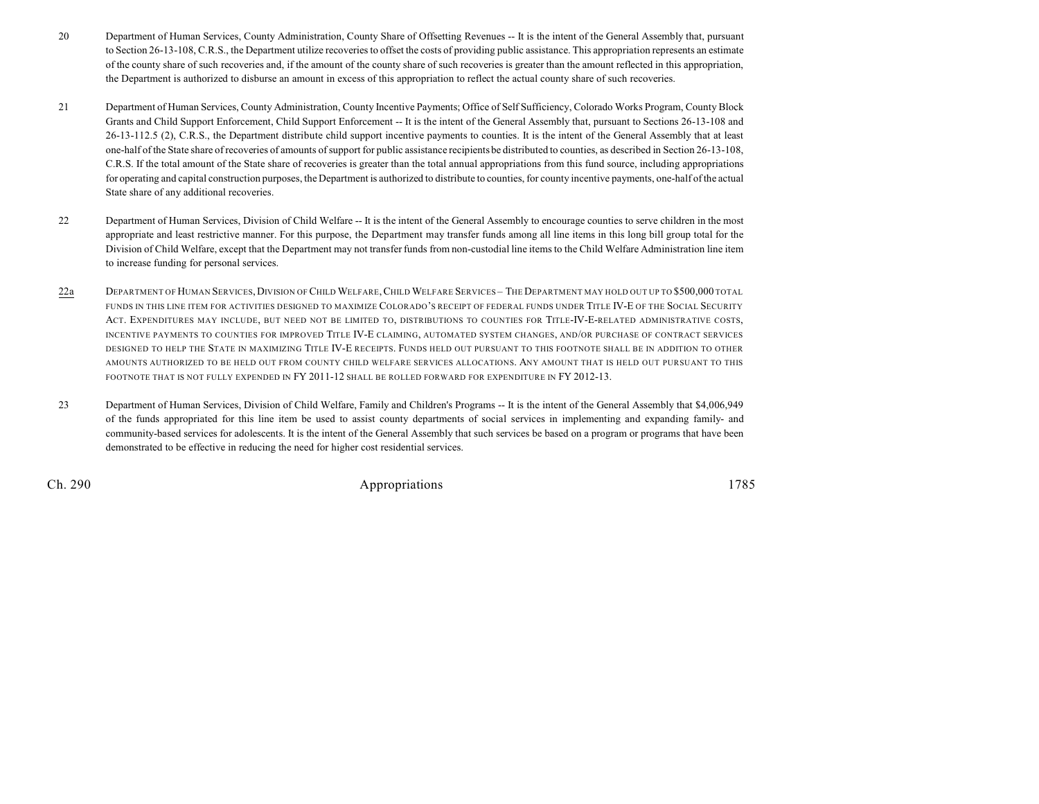- 20 Department of Human Services, County Administration, County Share of Offsetting Revenues -- It is the intent of the General Assembly that, pursuant to Section 26-13-108, C.R.S., the Department utilize recoveries to offset the costs of providing public assistance. This appropriation represents an estimate of the county share of such recoveries and, if the amount of the county share of such recoveries is greater than the amount reflected in this appropriation, the Department is authorized to disburse an amount in excess of this appropriation to reflect the actual county share of such recoveries.
- 21 Department of Human Services, County Administration, County Incentive Payments; Office of Self Sufficiency, Colorado Works Program, County Block Grants and Child Support Enforcement, Child Support Enforcement -- It is the intent of the General Assembly that, pursuant to Sections 26-13-108 and 26-13-112.5 (2), C.R.S., the Department distribute child support incentive payments to counties. It is the intent of the General Assembly that at least one-half of the State share of recoveries of amounts of support for public assistance recipientsbe distributed to counties, as described in Section 26-13-108, C.R.S. If the total amount of the State share of recoveries is greater than the total annual appropriations from this fund source, including appropriations for operating and capital construction purposes, the Department is authorized to distribute to counties, for county incentive payments, one-half of the actual State share of any additional recoveries.
- 22 Department of Human Services, Division of Child Welfare -- It is the intent of the General Assembly to encourage counties to serve children in the most appropriate and least restrictive manner. For this purpose, the Department may transfer funds among all line items in this long bill group total for the Division of Child Welfare, except that the Department may not transfer funds from non-custodial line items to the Child Welfare Administration line item to increase funding for personal services.
- 22a DEPARTMENT OF HUMAN SERVICES, DIVISION OF CHILD WELFARE, CHILD WELFARE SERVICES THE DEPARTMENT MAY HOLD OUT UP TO \$500,000 TOTAL FUNDS IN THIS LINE ITEM FOR ACTIVITIES DESIGNED TO MAXIMIZE COLORADO'S RECEIPT OF FEDERAL FUNDS UNDER TITLE IV-E OF THE SOCIAL SECURITY ACT. EXPENDITURES MAY INCLUDE, BUT NEED NOT BE LIMITED TO, DISTRIBUTIONS TO COUNTIES FOR TITLE-IV-E-RELATED ADMINISTRATIVE COSTS, INCENTIVE PAYMENTS TO COUNTIES FOR IMPROVED TITLE IV-E CLAIMING, AUTOMATED SYSTEM CHANGES, AND/OR PURCHASE OF CONTRACT SERVICES DESIGNED TO HELP THE STATE IN MAXIMIZING TITLE IV-E RECEIPTS. FUNDS HELD OUT PURSUANT TO THIS FOOTNOTE SHALL BE IN ADDITION TO OTHER AMOUNTS AUTHORIZED TO BE HELD OUT FROM COUNTY CHILD WELFARE SERVICES ALLOCATIONS. ANY AMOUNT THAT IS HELD OUT PURSUANT TO THIS FOOTNOTE THAT IS NOT FULLY EXPENDED IN FY 2011-12 SHALL BE ROLLED FORWARD FOR EXPENDITURE IN FY 2012-13.
- 23 Department of Human Services, Division of Child Welfare, Family and Children's Programs -- It is the intent of the General Assembly that \$4,006,949 of the funds appropriated for this line item be used to assist county departments of social services in implementing and expanding family- and community-based services for adolescents. It is the intent of the General Assembly that such services be based on a program or programs that have been demonstrated to be effective in reducing the need for higher cost residential services.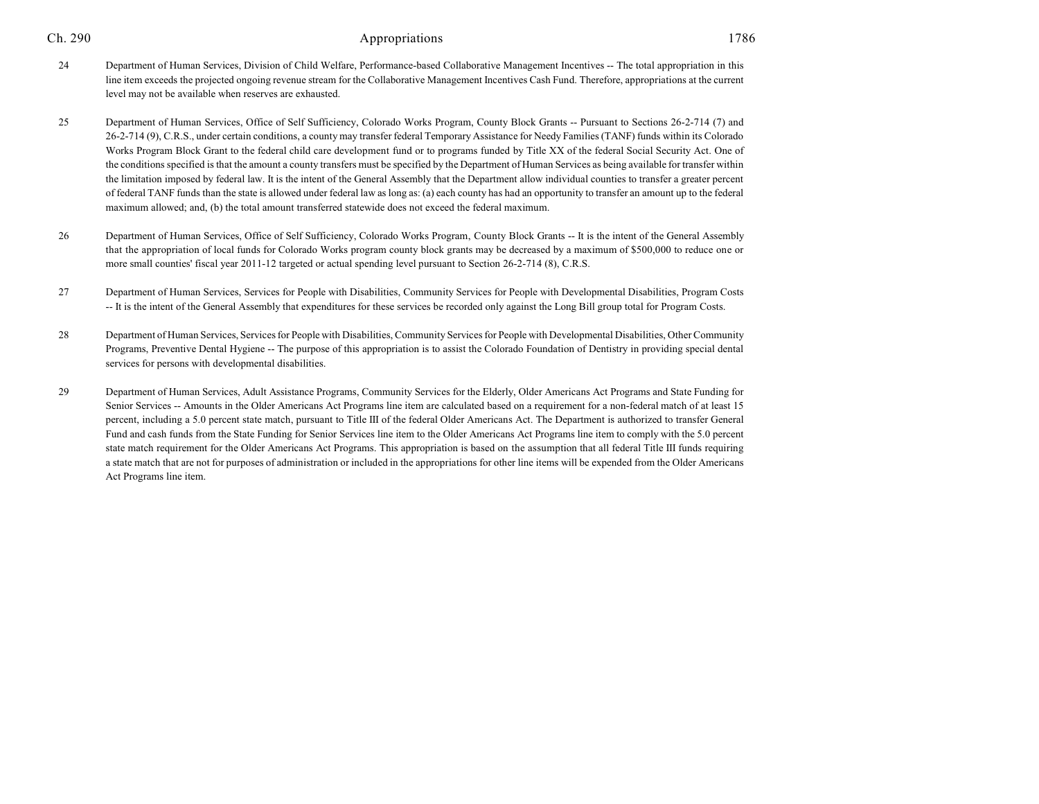- 25 Department of Human Services, Office of Self Sufficiency, Colorado Works Program, County Block Grants -- Pursuant to Sections 26-2-714 (7) and 26-2-714 (9), C.R.S., under certain conditions, a county may transfer federal Temporary Assistance for Needy Families (TANF) funds within its Colorado Works Program Block Grant to the federal child care development fund or to programs funded by Title XX of the federal Social Security Act. One of the conditions specified is that the amount a county transfers must be specified by the Department of Human Services as being available for transfer within the limitation imposed by federal law. It is the intent of the General Assembly that the Department allow individual counties to transfer a greater percent of federal TANF funds than the state is allowed under federal law as long as: (a) each county has had an opportunity to transfer an amount up to the federal maximum allowed; and, (b) the total amount transferred statewide does not exceed the federal maximum.
- 26 Department of Human Services, Office of Self Sufficiency, Colorado Works Program, County Block Grants -- It is the intent of the General Assembly that the appropriation of local funds for Colorado Works program county block grants may be decreased by a maximum of \$500,000 to reduce one or more small counties' fiscal year 2011-12 targeted or actual spending level pursuant to Section 26-2-714 (8), C.R.S.
- 27 Department of Human Services, Services for People with Disabilities, Community Services for People with Developmental Disabilities, Program Costs -- It is the intent of the General Assembly that expenditures for these services be recorded only against the Long Bill group total for Program Costs.
- 28 Department of Human Services, Services for People with Disabilities, Community Services for People with Developmental Disabilities, Other Community Programs, Preventive Dental Hygiene -- The purpose of this appropriation is to assist the Colorado Foundation of Dentistry in providing special dental services for persons with developmental disabilities.
- 29 Department of Human Services, Adult Assistance Programs, Community Services for the Elderly, Older Americans Act Programs and State Funding for Senior Services -- Amounts in the Older Americans Act Programs line item are calculated based on a requirement for a non-federal match of at least 15 percent, including a 5.0 percent state match, pursuant to Title III of the federal Older Americans Act. The Department is authorized to transfer General Fund and cash funds from the State Funding for Senior Services line item to the Older Americans Act Programs line item to comply with the 5.0 percent state match requirement for the Older Americans Act Programs. This appropriation is based on the assumption that all federal Title III funds requiring a state match that are not for purposes of administration or included in the appropriations for other line items will be expended from the Older Americans Act Programs line item.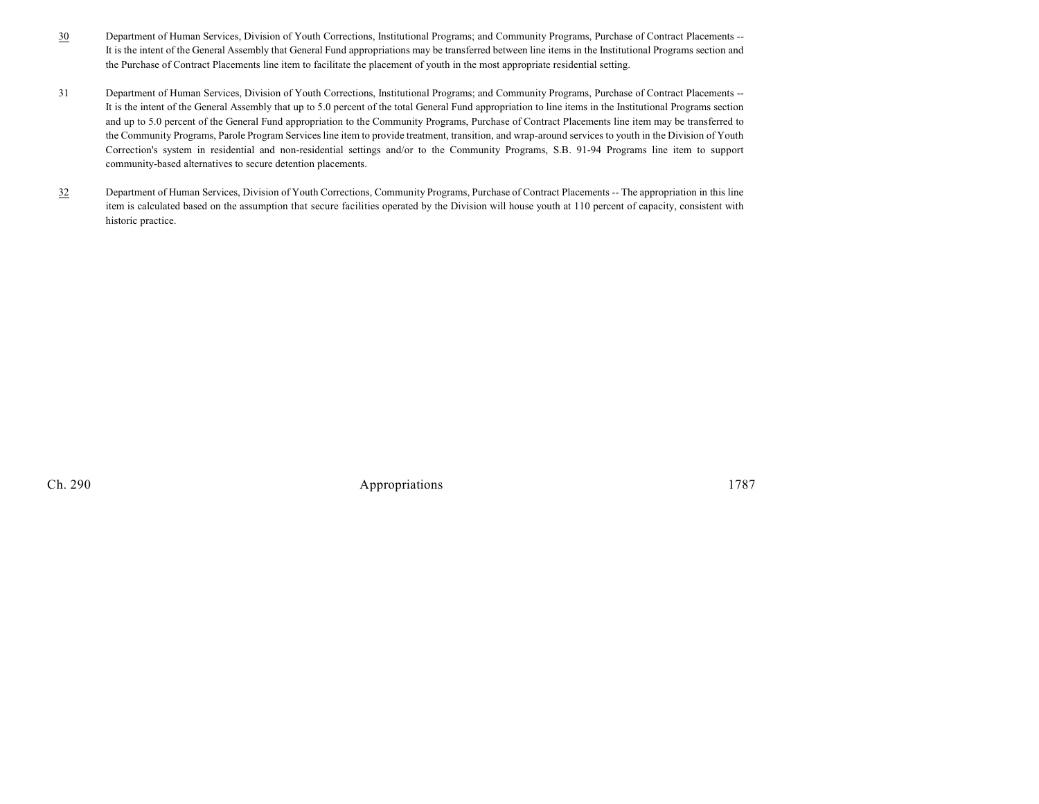- 30 Department of Human Services, Division of Youth Corrections, Institutional Programs; and Community Programs, Purchase of Contract Placements -- It is the intent of the General Assembly that General Fund appropriations may be transferred between line items in the Institutional Programs section and the Purchase of Contract Placements line item to facilitate the placement of youth in the most appropriate residential setting.
- 31 Department of Human Services, Division of Youth Corrections, Institutional Programs; and Community Programs, Purchase of Contract Placements -- It is the intent of the General Assembly that up to 5.0 percent of the total General Fund appropriation to line items in the Institutional Programs section and up to 5.0 percent of the General Fund appropriation to the Community Programs, Purchase of Contract Placements line item may be transferred to the Community Programs, Parole Program Services line item to provide treatment, transition, and wrap-around services to youth in the Division of Youth Correction's system in residential and non-residential settings and/or to the Community Programs, S.B. 91-94 Programs line item to support community-based alternatives to secure detention placements.
- 32 Department of Human Services, Division of Youth Corrections, Community Programs, Purchase of Contract Placements -- The appropriation in this line item is calculated based on the assumption that secure facilities operated by the Division will house youth at 110 percent of capacity, consistent with historic practice.